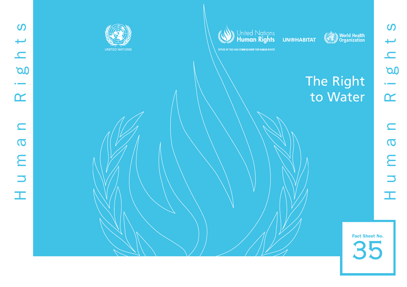





World Health

OFFICE OF THE HIGH COMMISSIONER FOR HUMAN RIGHTS

# The Right to Water

35 Fact Sheet No.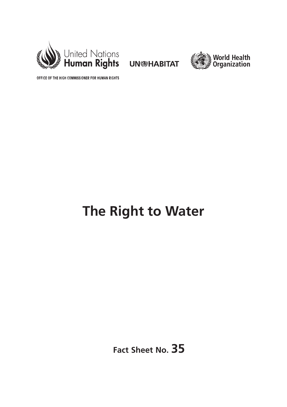



OFFICE OF THE HIGH COMMISSIONER FOR HUMAN RIGHTS

# **The Right to Water**

**Fact Sheet No. 35**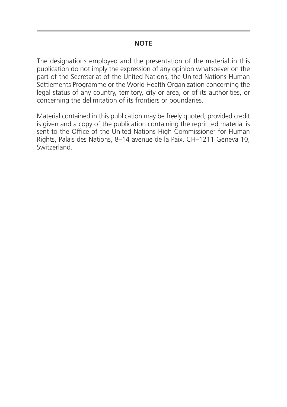## **NOTE**

The designations employed and the presentation of the material in this publication do not imply the expression of any opinion whatsoever on the part of the Secretariat of the United Nations, the United Nations Human Settlements Programme or the World Health Organization concerning the legal status of any country, territory, city or area, or of its authorities, or concerning the delimitation of its frontiers or boundaries.

Material contained in this publication may be freely quoted, provided credit is given and a copy of the publication containing the reprinted material is sent to the Office of the United Nations High Commissioner for Human Rights, Palais des Nations, 8–14 avenue de la Paix, CH–1211 Geneva 10, Switzerland.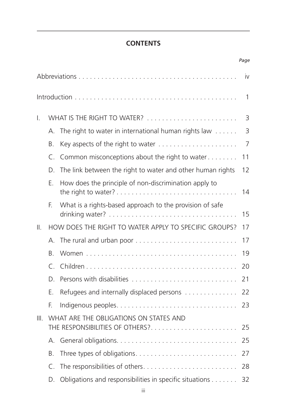# **CONTENTS**

*Page*

|      |                                                                                 |                                                            | İV             |
|------|---------------------------------------------------------------------------------|------------------------------------------------------------|----------------|
|      |                                                                                 |                                                            | 1              |
| I.   | WHAT IS THE RIGHT TO WATER?                                                     |                                                            | 3              |
|      | $\mathsf{A}_{\cdot}$                                                            | The right to water in international human rights law       | $\overline{3}$ |
|      | <b>B.</b>                                                                       |                                                            | 7              |
|      | C.                                                                              | Common misconceptions about the right to water             | 11             |
|      | D.                                                                              | The link between the right to water and other human rights | 12             |
|      | Ε.                                                                              | How does the principle of non-discrimination apply to      | 14             |
|      | F.                                                                              | What is a rights-based approach to the provision of safe   | 15             |
| Ⅱ.   |                                                                                 | HOW DOES THE RIGHT TO WATER APPLY TO SPECIFIC GROUPS?      | 17             |
|      | $\mathsf{A}_{\cdot}$                                                            |                                                            | 17             |
|      | Β.                                                                              |                                                            | 19             |
|      | $\subset$                                                                       |                                                            | 20             |
|      | D.                                                                              |                                                            | 21             |
|      | F.                                                                              | Refugees and internally displaced persons                  | 22             |
|      | F.                                                                              |                                                            | 23             |
| III. | WHAT ARE THE OBLIGATIONS ON STATES AND<br>THE RESPONSIBILITIES OF OTHERS?<br>25 |                                                            |                |
|      | А.                                                                              |                                                            | 25             |
|      | Β.                                                                              |                                                            | 27             |
|      | C.                                                                              | The responsibilities of others                             | 28             |
|      | D.                                                                              | Obligations and responsibilities in specific situations    | 32             |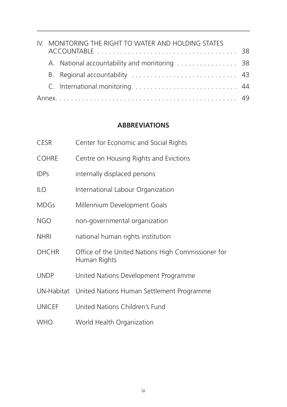|  | IV. MONITORING THE RIGHT TO WATER AND HOLDING STATES |                                |  |
|--|------------------------------------------------------|--------------------------------|--|
|  |                                                      |                                |  |
|  |                                                      |                                |  |
|  |                                                      |                                |  |
|  |                                                      | C. International monitoring 44 |  |
|  |                                                      |                                |  |

# **ABBREVIATIONS**

| <b>CESR</b>   | Center for Economic and Social Rights                              |
|---------------|--------------------------------------------------------------------|
| <b>COHRE</b>  | Centre on Housing Rights and Evictions                             |
| <b>IDPs</b>   | internally displaced persons                                       |
| <b>ILO</b>    | International Labour Organization                                  |
| <b>MDGs</b>   | Millennium Development Goals                                       |
| <b>NGO</b>    | non-governmental organization                                      |
| <b>NHRI</b>   | national human rights institution                                  |
| <b>OHCHR</b>  | Office of the United Nations High Commissioner for<br>Human Rights |
| <b>UNDP</b>   | United Nations Development Programme                               |
|               | UN-Habitat United Nations Human Settlement Programme               |
| <b>UNICEF</b> | United Nations Children's Fund                                     |
| <b>WHO</b>    | World Health Organization                                          |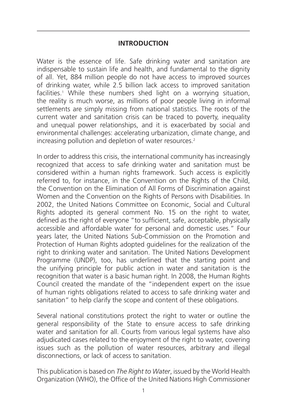# **INTRODUCTION**

Water is the essence of life. Safe drinking water and sanitation are indispensable to sustain life and health, and fundamental to the dignity of all. Yet, 884 million people do not have access to improved sources of drinking water, while 2.5 billion lack access to improved sanitation facilities.1 While these numbers shed light on a worrying situation, the reality is much worse, as millions of poor people living in informal settlements are simply missing from national statistics. The roots of the current water and sanitation crisis can be traced to poverty, inequality and unequal power relationships, and it is exacerbated by social and environmental challenges: accelerating urbanization, climate change, and increasing pollution and depletion of water resources.<sup>2</sup>

In order to address this crisis, the international community has increasingly recognized that access to safe drinking water and sanitation must be considered within a human rights framework. Such access is explicitly referred to, for instance, in the Convention on the Rights of the Child, the Convention on the Elimination of All Forms of Discrimination against Women and the Convention on the Rights of Persons with Disabilities. In 2002, the United Nations Committee on Economic, Social and Cultural Rights adopted its general comment No. 15 on the right to water, defined as the right of everyone "to sufficient, safe, acceptable, physically accessible and affordable water for personal and domestic uses." Four years later, the United Nations Sub-Commission on the Promotion and Protection of Human Rights adopted guidelines for the realization of the right to drinking water and sanitation. The United Nations Development Programme (UNDP), too, has underlined that the starting point and the unifying principle for public action in water and sanitation is the recognition that water is a basic human right. In 2008, the Human Rights Council created the mandate of the "independent expert on the issue of human rights obligations related to access to safe drinking water and sanitation" to help clarify the scope and content of these obligations.

Several national constitutions protect the right to water or outline the general responsibility of the State to ensure access to safe drinking water and sanitation for all. Courts from various legal systems have also adjudicated cases related to the enjoyment of the right to water, covering issues such as the pollution of water resources, arbitrary and illegal disconnections, or lack of access to sanitation.

This publication is based on *The Right to Water*, issued by the World Health Organization (WHO), the Office of the United Nations High Commissioner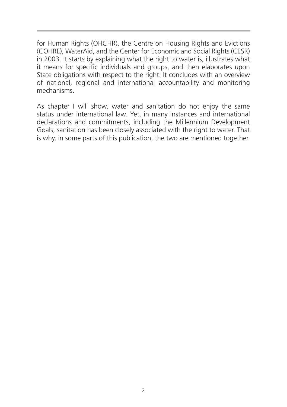for Human Rights (OHCHR), the Centre on Housing Rights and Evictions (COHRE), WaterAid, and the Center for Economic and Social Rights (CESR) in 2003. It starts by explaining what the right to water is, illustrates what it means for specific individuals and groups, and then elaborates upon State obligations with respect to the right. It concludes with an overview of national, regional and international accountability and monitoring mechanisms.

As chapter I will show, water and sanitation do not enjoy the same status under international law. Yet, in many instances and international declarations and commitments, including the Millennium Development Goals, sanitation has been closely associated with the right to water. That is why, in some parts of this publication, the two are mentioned together.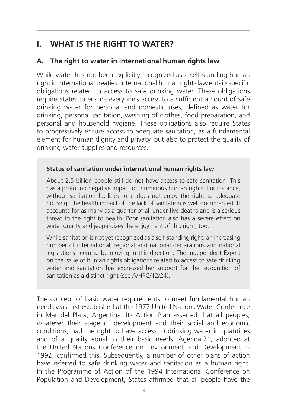# **I. WHAT IS THE RIGHT TO WATER?**

# **A. The right to water in international human rights law**

While water has not been explicitly recognized as a self-standing human right in international treaties, international human rights law entails specific obligations related to access to safe drinking water. These obligations require States to ensure everyone's access to a sufficient amount of safe drinking water for personal and domestic uses, defined as water for drinking, personal sanitation, washing of clothes, food preparation, and personal and household hygiene. These obligations also require States to progressively ensure access to adequate sanitation, as a fundamental element for human dignity and privacy, but also to protect the quality of drinking-water supplies and resources.

#### **Status of sanitation under international human rights law**

About 2.5 billion people still do not have access to safe sanitation. This has a profound negative impact on numerous human rights. For instance, without sanitation facilities, one does not enjoy the right to adequate housing. The health impact of the lack of sanitation is well documented. It accounts for as many as a quarter of all under-five deaths and is a serious threat to the right to health. Poor sanitation also has a severe effect on water quality and jeopardizes the enjoyment of this right, too.

While sanitation is not yet recognized as a self-standing right, an increasing number of international, regional and national declarations and national legislations seem to be moving in this direction. The Independent Expert on the issue of human rights obligations related to access to safe drinking water and sanitation has expressed her support for the recognition of sanitation as a distinct right (see A/HRC/12/24).

The concept of basic water requirements to meet fundamental human needs was first established at the 1977 United Nations Water Conference in Mar del Plata, Argentina. Its Action Plan asserted that all peoples, whatever their stage of development and their social and economic conditions, had the right to have access to drinking water in quantities and of a quality equal to their basic needs. Agenda 21, adopted at the United Nations Conference on Environment and Development in 1992, confirmed this. Subsequently, a number of other plans of action have referred to safe drinking water and sanitation as a human right. In the Programme of Action of the 1994 International Conference on Population and Development, States affirmed that all people have the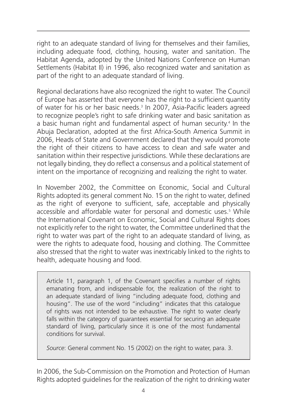right to an adequate standard of living for themselves and their families, including adequate food, clothing, housing, water and sanitation. The Habitat Agenda, adopted by the United Nations Conference on Human Settlements (Habitat II) in 1996, also recognized water and sanitation as part of the right to an adequate standard of living.

Regional declarations have also recognized the right to water. The Council of Europe has asserted that everyone has the right to a sufficient quantity of water for his or her basic needs.3 In 2007, Asia-Pacific leaders agreed to recognize people's right to safe drinking water and basic sanitation as a basic human right and fundamental aspect of human security.4 In the Abuja Declaration, adopted at the first Africa-South America Summit in 2006, Heads of State and Government declared that they would promote the right of their citizens to have access to clean and safe water and sanitation within their respective jurisdictions. While these declarations are not legally binding, they do reflect a consensus and a political statement of intent on the importance of recognizing and realizing the right to water.

In November 2002, the Committee on Economic, Social and Cultural Rights adopted its general comment No. 15 on the right to water, defined as the right of everyone to sufficient, safe, acceptable and physically accessible and affordable water for personal and domestic uses.<sup>5</sup> While the International Covenant on Economic, Social and Cultural Rights does not explicitly refer to the right to water, the Committee underlined that the right to water was part of the right to an adequate standard of living, as were the rights to adequate food, housing and clothing. The Committee also stressed that the right to water was inextricably linked to the rights to health, adequate housing and food.

Article 11, paragraph 1, of the Covenant specifies a number of rights emanating from, and indispensable for, the realization of the right to an adequate standard of living "including adequate food, clothing and housing". The use of the word "including" indicates that this catalogue of rights was not intended to be exhaustive. The right to water clearly falls within the category of guarantees essential for securing an adequate standard of living, particularly since it is one of the most fundamental conditions for survival.

*Source*: General comment No. 15 (2002) on the right to water, para. 3.

In 2006, the Sub-Commission on the Promotion and Protection of Human Rights adopted guidelines for the realization of the right to drinking water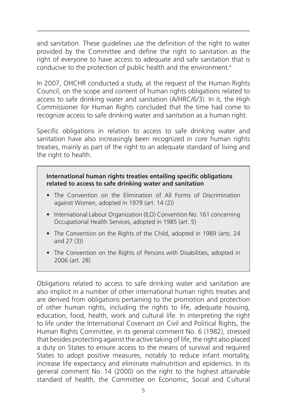and sanitation. These guidelines use the definition of the right to water provided by the Committee and define the right to sanitation as the right of everyone to have access to adequate and safe sanitation that is conducive to the protection of public health and the environment.6

In 2007, OHCHR conducted a study, at the request of the Human Rights Council, on the scope and content of human rights obligations related to access to safe drinking water and sanitation (A/HRC/6/3). In it, the High Commissioner for Human Rights concluded that the time had come to recognize access to safe drinking water and sanitation as a human right.

Specific obligations in relation to access to safe drinking water and sanitation have also increasingly been recognized in core human rights treaties, mainly as part of the right to an adequate standard of living and the right to health.

#### **International human rights treaties entailing specific obligations related to access to safe drinking water and sanitation**

- The Convention on the Elimination of All Forms of Discrimination against Women, adopted in 1979 (art. 14 (2))
- International Labour Organization (ILO) Convention No. 161 concerning Occupational Health Services, adopted in 1985 (art. 5)
- The Convention on the Rights of the Child, adopted in 1989 (arts. 24 and 27 (3))
- The Convention on the Rights of Persons with Disabilities, adopted in 2006 (art. 28)

Obligations related to access to safe drinking water and sanitation are also implicit in a number of other international human rights treaties and are derived from obligations pertaining to the promotion and protection of other human rights, including the rights to life, adequate housing, education, food, health, work and cultural life. In interpreting the right to life under the International Covenant on Civil and Political Rights, the Human Rights Committee, in its general comment No. 6 (1982), stressed that besides protecting against the active taking of life, the right also placed a duty on States to ensure access to the means of survival and required States to adopt positive measures, notably to reduce infant mortality, increase life expectancy and eliminate malnutrition and epidemics. In its general comment No. 14 (2000) on the right to the highest attainable standard of health, the Committee on Economic, Social and Cultural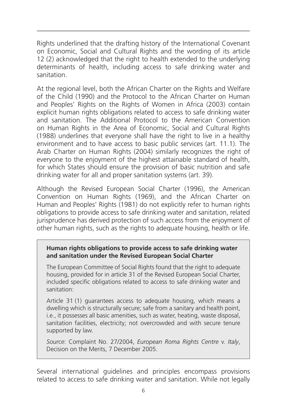Rights underlined that the drafting history of the International Covenant on Economic, Social and Cultural Rights and the wording of its article 12 (2) acknowledged that the right to health extended to the underlying determinants of health, including access to safe drinking water and sanitation.

At the regional level, both the African Charter on the Rights and Welfare of the Child (1990) and the Protocol to the African Charter on Human and Peoples' Rights on the Rights of Women in Africa (2003) contain explicit human rights obligations related to access to safe drinking water and sanitation. The Additional Protocol to the American Convention on Human Rights in the Area of Economic, Social and Cultural Rights (1988) underlines that everyone shall have the right to live in a healthy environment and to have access to basic public services (art. 11.1). The Arab Charter on Human Rights (2004) similarly recognizes the right of everyone to the enjoyment of the highest attainable standard of health, for which States should ensure the provision of basic nutrition and safe drinking water for all and proper sanitation systems (art. 39).

Although the Revised European Social Charter (1996), the American Convention on Human Rights (1969), and the African Charter on Human and Peoples' Rights (1981) do not explicitly refer to human rights obligations to provide access to safe drinking water and sanitation, related jurisprudence has derived protection of such access from the enjoyment of other human rights, such as the rights to adequate housing, health or life.

#### **Human rights obligations to provide access to safe drinking water and sanitation under the Revised European Social Charter**

The European Committee of Social Rights found that the right to adequate housing, provided for in article 31 of the Revised European Social Charter, included specific obligations related to access to safe drinking water and sanitation:

Article 31 (1) guarantees access to adequate housing, which means a dwelling which is structurally secure; safe from a sanitary and health point, i.e., it possesses all basic amenities, such as water, heating, waste disposal, sanitation facilities, electricity; not overcrowded and with secure tenure supported by law.

*Source*: Complaint No. 27/2004, *European Roma Rights Centre* v. *Italy*, Decision on the Merits, 7 December 2005.

Several international guidelines and principles encompass provisions related to access to safe drinking water and sanitation. While not legally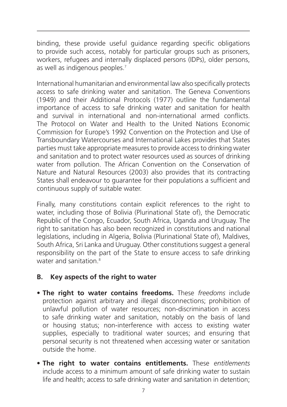binding, these provide useful guidance regarding specific obligations to provide such access, notably for particular groups such as prisoners, workers, refugees and internally displaced persons (IDPs), older persons, as well as indigenous peoples.7

International humanitarian and environmental law also specifically protects access to safe drinking water and sanitation. The Geneva Conventions (1949) and their Additional Protocols (1977) outline the fundamental importance of access to safe drinking water and sanitation for health and survival in international and non-international armed conflicts. The Protocol on Water and Health to the United Nations Economic Commission for Europe's 1992 Convention on the Protection and Use of Transboundary Watercourses and International Lakes provides that States parties must take appropriate measures to provide access to drinking water and sanitation and to protect water resources used as sources of drinking water from pollution. The African Convention on the Conservation of Nature and Natural Resources (2003) also provides that its contracting States shall endeavour to guarantee for their populations a sufficient and continuous supply of suitable water.

Finally, many constitutions contain explicit references to the right to water, including those of Bolivia (Plurinational State of), the Democratic Republic of the Congo, Ecuador, South Africa, Uganda and Uruguay. The right to sanitation has also been recognized in constitutions and national legislations, including in Algeria, Bolivia (Plurinational State of), Maldives, South Africa, Sri Lanka and Uruguay. Other constitutions suggest a general responsibility on the part of the State to ensure access to safe drinking water and sanitation.<sup>8</sup>

# **B. Key aspects of the right to water**

- **The right to water contains freedoms.** These *freedoms* include protection against arbitrary and illegal disconnections; prohibition of unlawful pollution of water resources; non-discrimination in access to safe drinking water and sanitation, notably on the basis of land or housing status; non-interference with access to existing water supplies, especially to traditional water sources; and ensuring that personal security is not threatened when accessing water or sanitation outside the home.
- **The right to water contains entitlements.** These *entitlements*  include access to a minimum amount of safe drinking water to sustain life and health; access to safe drinking water and sanitation in detention;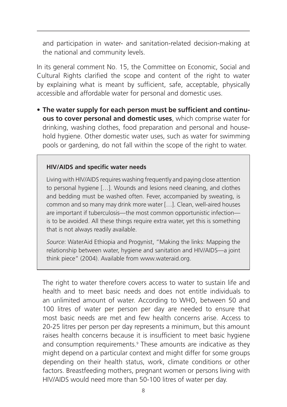and participation in water- and sanitation-related decision-making at the national and community levels.

In its general comment No. 15, the Committee on Economic, Social and Cultural Rights clarified the scope and content of the right to water by explaining what is meant by sufficient, safe, acceptable, physically accessible and affordable water for personal and domestic uses.

• **The water supply for each person must be sufficient and continuous to cover personal and domestic uses**, which comprise water for drinking, washing clothes, food preparation and personal and household hygiene. Other domestic water uses, such as water for swimming pools or gardening, do not fall within the scope of the right to water.

#### **HIV/AIDS and specific water needs**

Living with HIV/AIDS requires washing frequently and paying close attention to personal hygiene […]. Wounds and lesions need cleaning, and clothes and bedding must be washed often. Fever, accompanied by sweating, is common and so many may drink more water […]. Clean, well-aired houses are important if tuberculosis—the most common opportunistic infection is to be avoided. All these things require extra water, yet this is something that is not always readily available.

*Source*: WaterAid Ethiopia and Progynist, "Making the links: Mapping the relationship between water, hygiene and sanitation and HIV/AIDS—a joint think piece" (2004). Available from www.wateraid.org.

The right to water therefore covers access to water to sustain life and health and to meet basic needs and does not entitle individuals to an unlimited amount of water. According to WHO, between 50 and 100 litres of water per person per day are needed to ensure that most basic needs are met and few health concerns arise. Access to 20-25 litres per person per day represents a minimum, but this amount raises health concerns because it is insufficient to meet basic hygiene and consumption requirements.<sup>9</sup> These amounts are indicative as they might depend on a particular context and might differ for some groups depending on their health status, work, climate conditions or other factors. Breastfeeding mothers, pregnant women or persons living with HIV/AIDS would need more than 50-100 litres of water per day.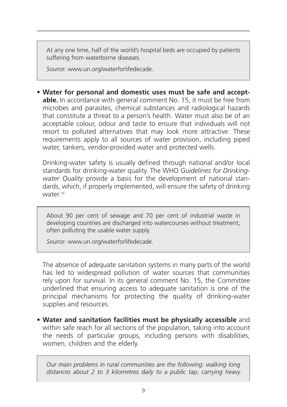At any one time, half of the world's hospital beds are occupied by patients suffering from waterborne diseases.

*Source:* www.un.org/waterforlifedecade.

• **Water for personal and domestic uses must be safe and acceptable.** In accordance with general comment No. 15, it must be free from microbes and parasites, chemical substances and radiological hazards that constitute a threat to a person's health. Water must also be of an acceptable colour, odour and taste to ensure that individuals will not resort to polluted alternatives that may look more attractive. These requirements apply to all sources of water provision, including piped water, tankers, vendor-provided water and protected wells.

Drinking-water safety is usually defined through national and/or local standards for drinking-water quality. The WHO *Guidelines for Drinkingwater Quality* provide a basis for the development of national standards, which, if properly implemented, will ensure the safety of drinking water.<sup>10</sup>

About 90 per cent of sewage and 70 per cent of industrial waste in developing countries are discharged into watercourses without treatment, often polluting the usable water supply.

*Source*: www.un.org/waterforlifedecade.

The absence of adequate sanitation systems in many parts of the world has led to widespread pollution of water sources that communities rely upon for survival. In its general comment No. 15, the Committee underlined that ensuring access to adequate sanitation is one of the principal mechanisms for protecting the quality of drinking-water supplies and resources.

• **Water and sanitation facilities must be physically accessible** and within safe reach for all sections of the population, taking into account the needs of particular groups, including persons with disabilities, women, children and the elderly.

*Our main problems in rural communities are the following: walking long distances about 2 to 3 kilometres daily to a public tap; carrying heavy*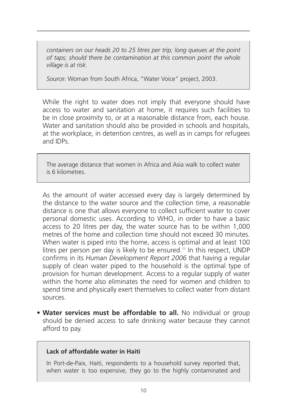*containers on our heads 20 to 25 litres per trip; long queues at the point of taps; should there be contamination at this common point the whole village is at risk.* 

*Source*: Woman from South Africa, "Water Voice" project, 2003.

While the right to water does not imply that everyone should have access to water and sanitation at home, it requires such facilities to be in close proximity to, or at a reasonable distance from, each house. Water and sanitation should also be provided in schools and hospitals. at the workplace, in detention centres, as well as in camps for refugees and IDPs.

The average distance that women in Africa and Asia walk to collect water is 6 kilometres.

As the amount of water accessed every day is largely determined by the distance to the water source and the collection time, a reasonable distance is one that allows everyone to collect sufficient water to cover personal domestic uses. According to WHO, in order to have a basic access to 20 litres per day, the water source has to be within 1,000 metres of the home and collection time should not exceed 30 minutes. When water is piped into the home, access is optimal and at least 100 litres per person per day is likely to be ensured.<sup>11</sup> In this respect, UNDP confirms in its *Human Development Report 2006* that having a regular supply of clean water piped to the household is the optimal type of provision for human development. Access to a regular supply of water within the home also eliminates the need for women and children to spend time and physically exert themselves to collect water from distant sources.

• **Water services must be affordable to all.** No individual or group should be denied access to safe drinking water because they cannot afford to pay.

#### **Lack of affordable water in Haiti**

In Port-de-Paix, Haiti, respondents to a household survey reported that, when water is too expensive, they go to the highly contaminated and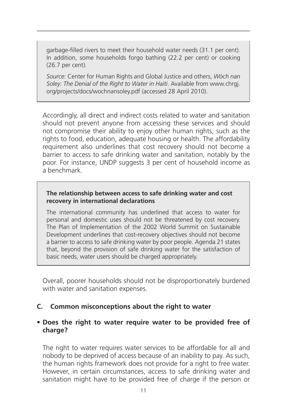garbage-filled rivers to meet their household water needs (31.1 per cent). In addition, some households forgo bathing (22.2 per cent) or cooking (26.7 per cent).

*Source*: Center for Human Rights and Global Justice and others, *Wòch nan Soley: The Denial of the Right to Water in Haiti*. Available from www.chrgj. org/projects/docs/wochnansoley.pdf (accessed 28 April 2010).

Accordingly, all direct and indirect costs related to water and sanitation should not prevent anyone from accessing these services and should not compromise their ability to enjoy other human rights, such as the rights to food, education, adequate housing or health. The affordability requirement also underlines that cost recovery should not become a barrier to access to safe drinking water and sanitation, notably by the poor. For instance, UNDP suggests 3 per cent of household income as a benchmark.

#### **The relationship between access to safe drinking water and cost recovery in international declarations**

The international community has underlined that access to water for personal and domestic uses should not be threatened by cost recovery. The Plan of Implementation of the 2002 World Summit on Sustainable Development underlines that cost-recovery objectives should not become a barrier to access to safe drinking water by poor people. Agenda 21 states that, beyond the provision of safe drinking water for the satisfaction of basic needs, water users should be charged appropriately.

Overall, poorer households should not be disproportionately burdened with water and sanitation expenses.

#### **C. Common misconceptions about the right to water**

#### • **Does the right to water require water to be provided free of charge?**

The right to water requires water services to be affordable for all and nobody to be deprived of access because of an inability to pay. As such, the human rights framework does not provide for a right to free water. However, in certain circumstances, access to safe drinking water and sanitation might have to be provided free of charge if the person or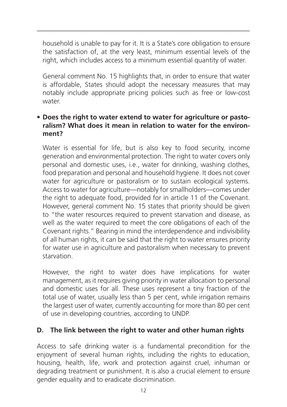household is unable to pay for it. It is a State's core obligation to ensure the satisfaction of, at the very least, minimum essential levels of the right, which includes access to a minimum essential quantity of water.

General comment No. 15 highlights that, in order to ensure that water is affordable, States should adopt the necessary measures that may notably include appropriate pricing policies such as free or low-cost water.

# • **Does the right to water extend to water for agriculture or pastoralism? What does it mean in relation to water for the environment?**

Water is essential for life, but is also key to food security, income generation and environmental protection. The right to water covers only personal and domestic uses, i.e., water for drinking, washing clothes, food preparation and personal and household hygiene. It does not cover water for agriculture or pastoralism or to sustain ecological systems. Access to water for agriculture—notably for smallholders—comes under the right to adequate food, provided for in article 11 of the Covenant. However, general comment No. 15 states that priority should be given to "the water resources required to prevent starvation and disease, as well as the water required to meet the core obligations of each of the Covenant rights." Bearing in mind the interdependence and indivisibility of all human rights, it can be said that the right to water ensures priority for water use in agriculture and pastoralism when necessary to prevent starvation.

However, the right to water does have implications for water management, as it requires giving priority in water allocation to personal and domestic uses for all. These uses represent a tiny fraction of the total use of water, usually less than 5 per cent, while irrigation remains the largest user of water, currently accounting for more than 80 per cent of use in developing countries, according to UNDP.

# **D. The link between the right to water and other human rights**

Access to safe drinking water is a fundamental precondition for the enjoyment of several human rights, including the rights to education, housing, health, life, work and protection against cruel, inhuman or degrading treatment or punishment. It is also a crucial element to ensure gender equality and to eradicate discrimination.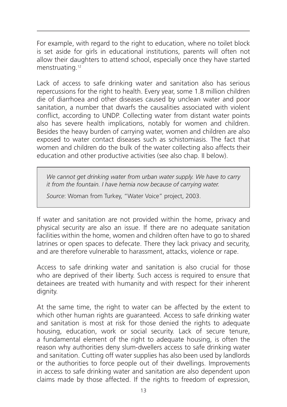For example, with regard to the right to education, where no toilet block is set aside for girls in educational institutions, parents will often not allow their daughters to attend school, especially once they have started menstruating.12

Lack of access to safe drinking water and sanitation also has serious repercussions for the right to health. Every year, some 1.8 million children die of diarrhoea and other diseases caused by unclean water and poor sanitation, a number that dwarfs the causalities associated with violent conflict, according to UNDP. Collecting water from distant water points also has severe health implications, notably for women and children. Besides the heavy burden of carrying water, women and children are also exposed to water contact diseases such as schistomiasis. The fact that women and children do the bulk of the water collecting also affects their education and other productive activities (see also chap. II below).

*We cannot get drinking water from urban water supply. We have to carry it from the fountain. I have hernia now because of carrying water.*

*Source*: Woman from Turkey, "Water Voice" project, 2003.

If water and sanitation are not provided within the home, privacy and physical security are also an issue. If there are no adequate sanitation facilities within the home, women and children often have to go to shared latrines or open spaces to defecate. There they lack privacy and security, and are therefore vulnerable to harassment, attacks, violence or rape.

Access to safe drinking water and sanitation is also crucial for those who are deprived of their liberty. Such access is required to ensure that detainees are treated with humanity and with respect for their inherent dignity.

At the same time, the right to water can be affected by the extent to which other human rights are guaranteed. Access to safe drinking water and sanitation is most at risk for those denied the rights to adequate housing, education, work or social security. Lack of secure tenure, a fundamental element of the right to adequate housing, is often the reason why authorities deny slum-dwellers access to safe drinking water and sanitation. Cutting off water supplies has also been used by landlords or the authorities to force people out of their dwellings. Improvements in access to safe drinking water and sanitation are also dependent upon claims made by those affected. If the rights to freedom of expression,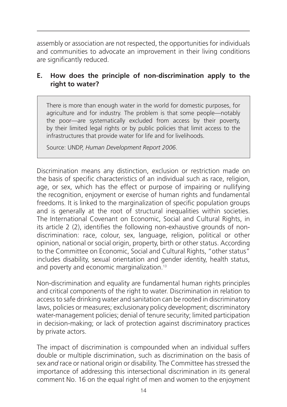assembly or association are not respected, the opportunities for individuals and communities to advocate an improvement in their living conditions are significantly reduced.

# **E. How does the principle of non-discrimination apply to the right to water?**

There is more than enough water in the world for domestic purposes, for agriculture and for industry. The problem is that some people—notably the poor—are systematically excluded from access by their poverty, by their limited legal rights or by public policies that limit access to the infrastructures that provide water for life and for livelihoods.

Source: UNDP, *Human Development Report 2006*.

Discrimination means any distinction, exclusion or restriction made on the basis of specific characteristics of an individual such as race, religion, age, or sex, which has the effect or purpose of impairing or nullifying the recognition, enjoyment or exercise of human rights and fundamental freedoms. It is linked to the marginalization of specific population groups and is generally at the root of structural inequalities within societies. The International Covenant on Economic, Social and Cultural Rights, in its article 2 (2), identifies the following non-exhaustive grounds of nondiscrimination: race, colour, sex, language, religion, political or other opinion, national or social origin, property, birth or other status. According to the Committee on Economic, Social and Cultural Rights, "other status" includes disability, sexual orientation and gender identity, health status, and poverty and economic marginalization.<sup>13</sup>

Non-discrimination and equality are fundamental human rights principles and critical components of the right to water. Discrimination in relation to access to safe drinking water and sanitation can be rooted in discriminatory laws, policies or measures; exclusionary policy development; discriminatory water-management policies; denial of tenure security; limited participation in decision-making; or lack of protection against discriminatory practices by private actors.

The impact of discrimination is compounded when an individual suffers double or multiple discrimination, such as discrimination on the basis of sex *and* race or national origin or disability. The Committee has stressed the importance of addressing this intersectional discrimination in its general comment No. 16 on the equal right of men and women to the enjoyment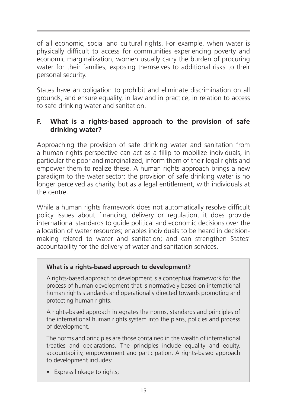of all economic, social and cultural rights. For example, when water is physically difficult to access for communities experiencing poverty and economic marginalization, women usually carry the burden of procuring water for their families, exposing themselves to additional risks to their personal security.

States have an obligation to prohibit and eliminate discrimination on all grounds, and ensure equality, in law and in practice, in relation to access to safe drinking water and sanitation.

# **F. What is a rights-based approach to the provision of safe drinking water?**

Approaching the provision of safe drinking water and sanitation from a human rights perspective can act as a fillip to mobilize individuals, in particular the poor and marginalized, inform them of their legal rights and empower them to realize these. A human rights approach brings a new paradigm to the water sector: the provision of safe drinking water is no longer perceived as charity, but as a legal entitlement, with individuals at the centre.

While a human rights framework does not automatically resolve difficult policy issues about financing, delivery or regulation, it does provide international standards to guide political and economic decisions over the allocation of water resources; enables individuals to be heard in decisionmaking related to water and sanitation; and can strengthen States' accountability for the delivery of water and sanitation services.

#### **What is a rights-based approach to development?**

A rights-based approach to development is a conceptual framework for the process of human development that is normatively based on international human rights standards and operationally directed towards promoting and protecting human rights.

A rights-based approach integrates the norms, standards and principles of the international human rights system into the plans, policies and process of development.

The norms and principles are those contained in the wealth of international treaties and declarations. The principles include equality and equity, accountability, empowerment and participation. A rights-based approach to development includes:

• Express linkage to rights;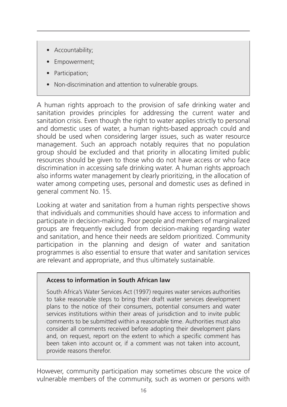- Accountability;
- Empowerment;
- Participation;
- Non-discrimination and attention to vulnerable groups.

A human rights approach to the provision of safe drinking water and sanitation provides principles for addressing the current water and sanitation crisis. Even though the right to water applies strictly to personal and domestic uses of water, a human rights-based approach could and should be used when considering larger issues, such as water resource management. Such an approach notably requires that no population group should be excluded and that priority in allocating limited public resources should be given to those who do not have access or who face discrimination in accessing safe drinking water. A human rights approach also informs water management by clearly prioritizing, in the allocation of water among competing uses, personal and domestic uses as defined in general comment No. 15.

Looking at water and sanitation from a human rights perspective shows that individuals and communities should have access to information and participate in decision-making. Poor people and members of marginalized groups are frequently excluded from decision-making regarding water and sanitation, and hence their needs are seldom prioritized. Community participation in the planning and design of water and sanitation programmes is also essential to ensure that water and sanitation services are relevant and appropriate, and thus ultimately sustainable.

#### **Access to information in South African law**

South Africa's Water Services Act (1997) requires water services authorities to take reasonable steps to bring their draft water services development plans to the notice of their consumers, potential consumers and water services institutions within their areas of jurisdiction and to invite public comments to be submitted within a reasonable time. Authorities must also consider all comments received before adopting their development plans and, on request, report on the extent to which a specific comment has been taken into account or, if a comment was not taken into account, provide reasons therefor.

However, community participation may sometimes obscure the voice of vulnerable members of the community, such as women or persons with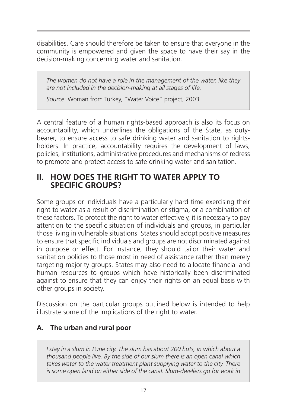disabilities. Care should therefore be taken to ensure that everyone in the community is empowered and given the space to have their say in the decision-making concerning water and sanitation.

*The women do not have a role in the management of the water, like they are not included in the decision-making at all stages of life.*

*Source*: Woman from Turkey, "Water Voice" project, 2003.

A central feature of a human rights-based approach is also its focus on accountability, which underlines the obligations of the State, as dutybearer, to ensure access to safe drinking water and sanitation to rightsholders. In practice, accountability requires the development of laws, policies, institutions, administrative procedures and mechanisms of redress to promote and protect access to safe drinking water and sanitation.

# **II. HOW DOES THE RIGHT TO WATER APPLY TO SPECIFIC GROUPS?**

Some groups or individuals have a particularly hard time exercising their right to water as a result of discrimination or stigma, or a combination of these factors. To protect the right to water effectively, it is necessary to pay attention to the specific situation of individuals and groups, in particular those living in vulnerable situations. States should adopt positive measures to ensure that specific individuals and groups are not discriminated against in purpose or effect. For instance, they should tailor their water and sanitation policies to those most in need of assistance rather than merely targeting majority groups. States may also need to allocate financial and human resources to groups which have historically been discriminated against to ensure that they can enjoy their rights on an equal basis with other groups in society.

Discussion on the particular groups outlined below is intended to help illustrate some of the implications of the right to water.

# **A. The urban and rural poor**

*I stay in a slum in Pune city. The slum has about 200 huts, in which about a thousand people live. By the side of our slum there is an open canal which*  takes water to the water treatment plant supplying water to the city. There *is some open land on either side of the canal. Slum-dwellers go for work in*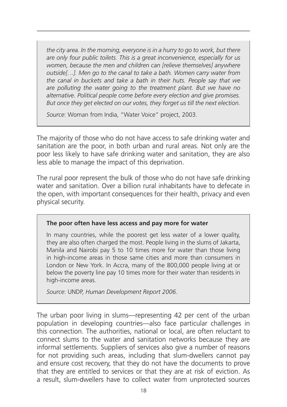*the city area. In the morning, everyone is in a hurry to go to work, but there are only four public toilets. This is a great inconvenience, especially for us women, because the men and children can [relieve themselves] anywhere outside[…]. Men go to the canal to take a bath. Women carry water from the canal in buckets and take a bath in their huts. People say that we are polluting the water going to the treatment plant. But we have no alternative. Political people come before every election and give promises. But once they get elected on our votes, they forget us till the next election.*

*Source*: Woman from India, "Water Voice" project, 2003.

The majority of those who do not have access to safe drinking water and sanitation are the poor, in both urban and rural areas. Not only are the poor less likely to have safe drinking water and sanitation, they are also less able to manage the impact of this deprivation.

The rural poor represent the bulk of those who do not have safe drinking water and sanitation. Over a billion rural inhabitants have to defecate in the open, with important consequences for their health, privacy and even physical security.

#### **The poor often have less access and pay more for water**

In many countries, while the poorest get less water of a lower quality, they are also often charged the most. People living in the slums of Jakarta, Manila and Nairobi pay 5 to 10 times more for water than those living in high-income areas in those same cities and more than consumers in London or New York. In Accra, many of the 800,000 people living at or below the poverty line pay 10 times more for their water than residents in high-income areas.

*Source*: UNDP, *Human Development Report 2006*.

The urban poor living in slums—representing 42 per cent of the urban population in developing countries—also face particular challenges in this connection. The authorities, national or local, are often reluctant to connect slums to the water and sanitation networks because they are informal settlements. Suppliers of services also give a number of reasons for not providing such areas, including that slum-dwellers cannot pay and ensure cost recovery, that they do not have the documents to prove that they are entitled to services or that they are at risk of eviction. As a result, slum-dwellers have to collect water from unprotected sources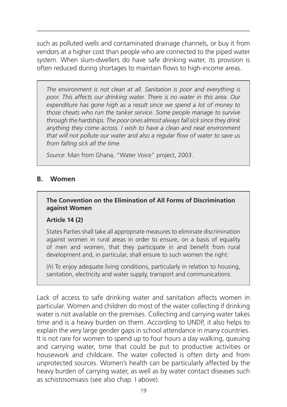such as polluted wells and contaminated drainage channels, or buy it from vendors at a higher cost than people who are connected to the piped water system. When slum-dwellers do have safe drinking water, its provision is often reduced during shortages to maintain flows to high-income areas.

*The environment is not clean at all. Sanitation is poor and everything is poor. This affects our drinking water. There is no water in this area. Our expenditure has gone high as a result since we spend a lot of money to those cheats who run the tanker service. Some people manage to survive through the hardships. The poor ones almost always fall sick since they drink anything they come across. I wish to have a clean and neat environment that will not pollute our water and also a regular flow of water to save us from falling sick all the time.*

*Source*: Man from Ghana, "Water Voice" project, 2003.

#### **B. Women**

#### **The Convention on the Elimination of All Forms of Discrimination against Women**

#### **Article 14 (2)**

States Parties shall take all appropriate measures to eliminate discrimination against women in rural areas in order to ensure, on a basis of equality of men and women, that they participate in and benefit from rural development and, in particular, shall ensure to such women the right:

(*h*) To enjoy adequate living conditions, particularly in relation to housing, sanitation, electricity and water supply, transport and communications.

Lack of access to safe drinking water and sanitation affects women in particular. Women and children do most of the water collecting if drinking water is not available on the premises. Collecting and carrying water takes time and is a heavy burden on them. According to UNDP, it also helps to explain the very large gender gaps in school attendance in many countries. It is not rare for women to spend up to four hours a day walking, queuing and carrying water, time that could be put to productive activities or housework and childcare. The water collected is often dirty and from unprotected sources. Women's health can be particularly affected by the heavy burden of carrying water, as well as by water contact diseases such as schistosomiasis (see also chap. I above).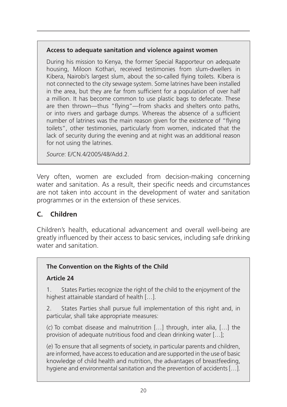#### **Access to adequate sanitation and violence against women**

During his mission to Kenya, the former Special Rapporteur on adequate housing, Miloon Kothari, received testimonies from slum-dwellers in Kibera, Nairobi's largest slum, about the so-called flying toilets. Kibera is not connected to the city sewage system. Some latrines have been installed in the area, but they are far from sufficient for a population of over half a million. It has become common to use plastic bags to defecate. These are then thrown—thus "flying"—from shacks and shelters onto paths, or into rivers and garbage dumps. Whereas the absence of a sufficient number of latrines was the main reason given for the existence of "flying toilets", other testimonies, particularly from women, indicated that the lack of security during the evening and at night was an additional reason for not using the latrines.

*Source*: E/CN.4/2005/48/Add.2.

Very often, women are excluded from decision-making concerning water and sanitation. As a result, their specific needs and circumstances are not taken into account in the development of water and sanitation programmes or in the extension of these services.

# **C. Children**

Children's health, educational advancement and overall well-being are greatly influenced by their access to basic services, including safe drinking water and sanitation.

# **The Convention on the Rights of the Child**

# **Article 24**

1. States Parties recognize the right of the child to the enjoyment of the highest attainable standard of health […].

2. States Parties shall pursue full implementation of this right and, in particular, shall take appropriate measures:

(*c*) To combat disease and malnutrition […] through, inter alia, […] the provision of adequate nutritious food and clean drinking water […];

(*e*) To ensure that all segments of society, in particular parents and children, are informed, have access to education and are supported in the use of basic knowledge of child health and nutrition, the advantages of breastfeeding, hygiene and environmental sanitation and the prevention of accidents […].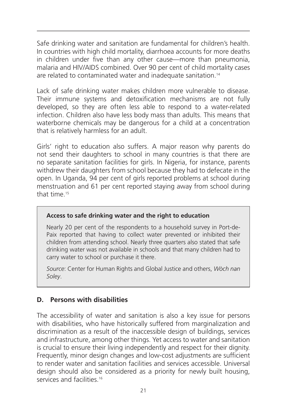Safe drinking water and sanitation are fundamental for children's health. In countries with high child mortality, diarrhoea accounts for more deaths in children under five than any other cause—more than pneumonia, malaria and HIV/AIDS combined. Over 90 per cent of child mortality cases are related to contaminated water and inadequate sanitation.<sup>14</sup>

Lack of safe drinking water makes children more vulnerable to disease. Their immune systems and detoxification mechanisms are not fully developed, so they are often less able to respond to a water-related infection. Children also have less body mass than adults. This means that waterborne chemicals may be dangerous for a child at a concentration that is relatively harmless for an adult.

Girls' right to education also suffers. A major reason why parents do not send their daughters to school in many countries is that there are no separate sanitation facilities for girls. In Nigeria, for instance, parents withdrew their daughters from school because they had to defecate in the open. In Uganda, 94 per cent of girls reported problems at school during menstruation and 61 per cent reported staying away from school during that time.15

#### **Access to safe drinking water and the right to education**

Nearly 20 per cent of the respondents to a household survey in Port-de-Paix reported that having to collect water prevented or inhibited their children from attending school. Nearly three quarters also stated that safe drinking water was not available in schools and that many children had to carry water to school or purchase it there.

*Source*: Center for Human Rights and Global Justice and others, *Wòch nan Soley*.

# **D. Persons with disabilities**

The accessibility of water and sanitation is also a key issue for persons with disabilities, who have historically suffered from marginalization and discrimination as a result of the inaccessible design of buildings, services and infrastructure, among other things. Yet access to water and sanitation is crucial to ensure their living independently and respect for their dignity. Frequently, minor design changes and low-cost adjustments are sufficient to render water and sanitation facilities and services accessible. Universal design should also be considered as a priority for newly built housing, services and facilities.<sup>16</sup>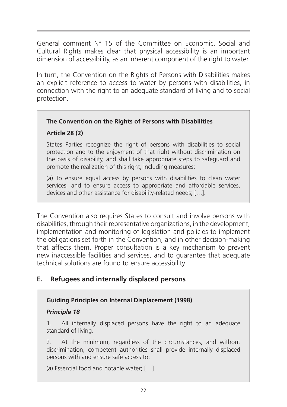General comment Nº 15 of the Committee on Economic, Social and Cultural Rights makes clear that physical accessibility is an important dimension of accessibility, as an inherent component of the right to water.

In turn, the Convention on the Rights of Persons with Disabilities makes an explicit reference to access to water by persons with disabilities, in connection with the right to an adequate standard of living and to social protection.

#### **The Convention on the Rights of Persons with Disabilities**

#### **Article 28 (2)**

States Parties recognize the right of persons with disabilities to social protection and to the enjoyment of that right without discrimination on the basis of disability, and shall take appropriate steps to safeguard and promote the realization of this right, including measures:

(*a*) To ensure equal access by persons with disabilities to clean water services, and to ensure access to appropriate and affordable services, devices and other assistance for disability-related needs; […].

The Convention also requires States to consult and involve persons with disabilities, through their representative organizations, in the development, implementation and monitoring of legislation and policies to implement the obligations set forth in the Convention, and in other decision-making that affects them. Proper consultation is a key mechanism to prevent new inaccessible facilities and services, and to guarantee that adequate technical solutions are found to ensure accessibility.

# **E. Refugees and internally displaced persons**

#### **Guiding Principles on Internal Displacement (1998)**

#### *Principle 18*

1. All internally displaced persons have the right to an adequate standard of living.

2. At the minimum, regardless of the circumstances, and without discrimination, competent authorities shall provide internally displaced persons with and ensure safe access to:

(*a*) Essential food and potable water; […]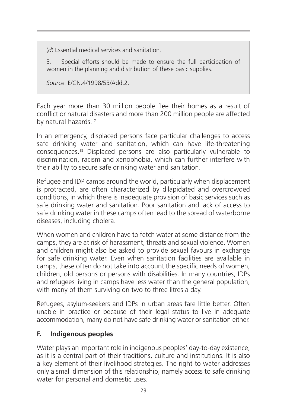(*d*) Essential medical services and sanitation.

3. Special efforts should be made to ensure the full participation of women in the planning and distribution of these basic supplies.

*Source*: E/CN.4/1998/53/Add.2.

Each year more than 30 million people flee their homes as a result of conflict or natural disasters and more than 200 million people are affected by natural hazards.17

In an emergency, displaced persons face particular challenges to access safe drinking water and sanitation, which can have life-threatening consequences.18 Displaced persons are also particularly vulnerable to discrimination, racism and xenophobia, which can further interfere with their ability to secure safe drinking water and sanitation.

Refugee and IDP camps around the world, particularly when displacement is protracted, are often characterized by dilapidated and overcrowded conditions, in which there is inadequate provision of basic services such as safe drinking water and sanitation. Poor sanitation and lack of access to safe drinking water in these camps often lead to the spread of waterborne diseases, including cholera.

When women and children have to fetch water at some distance from the camps, they are at risk of harassment, threats and sexual violence. Women and children might also be asked to provide sexual favours in exchange for safe drinking water. Even when sanitation facilities are available in camps, these often do not take into account the specific needs of women, children, old persons or persons with disabilities. In many countries, IDPs and refugees living in camps have less water than the general population, with many of them surviving on two to three litres a day.

Refugees, asylum-seekers and IDPs in urban areas fare little better. Often unable in practice or because of their legal status to live in adequate accommodation, many do not have safe drinking water or sanitation either.

# **F. Indigenous peoples**

Water plays an important role in indigenous peoples' day-to-day existence, as it is a central part of their traditions, culture and institutions. It is also a key element of their livelihood strategies. The right to water addresses only a small dimension of this relationship, namely access to safe drinking water for personal and domestic uses.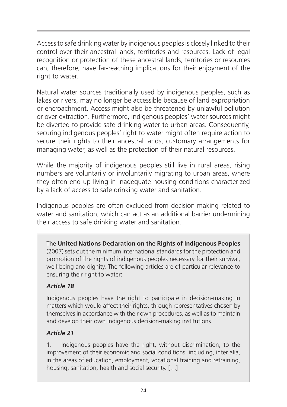Access to safe drinking water by indigenous peoples is closely linked to their control over their ancestral lands, territories and resources. Lack of legal recognition or protection of these ancestral lands, territories or resources can, therefore, have far-reaching implications for their enjoyment of the right to water.

Natural water sources traditionally used by indigenous peoples, such as lakes or rivers, may no longer be accessible because of land expropriation or encroachment. Access might also be threatened by unlawful pollution or over-extraction. Furthermore, indigenous peoples' water sources might be diverted to provide safe drinking water to urban areas. Consequently, securing indigenous peoples' right to water might often require action to secure their rights to their ancestral lands, customary arrangements for managing water, as well as the protection of their natural resources.

While the majority of indigenous peoples still live in rural areas, rising numbers are voluntarily or involuntarily migrating to urban areas, where they often end up living in inadequate housing conditions characterized by a lack of access to safe drinking water and sanitation.

Indigenous peoples are often excluded from decision-making related to water and sanitation, which can act as an additional barrier undermining their access to safe drinking water and sanitation.

The **United Nations Declaration on the Rights of Indigenous Peoples** (2007) sets out the minimum international standards for the protection and promotion of the rights of indigenous peoples necessary for their survival, well-being and dignity. The following articles are of particular relevance to ensuring their right to water:

# *Article 18*

Indigenous peoples have the right to participate in decision-making in matters which would affect their rights, through representatives chosen by themselves in accordance with their own procedures, as well as to maintain and develop their own indigenous decision-making institutions.

#### *Article 21*

1. Indigenous peoples have the right, without discrimination, to the improvement of their economic and social conditions, including, inter alia, in the areas of education, employment, vocational training and retraining, housing, sanitation, health and social security. […]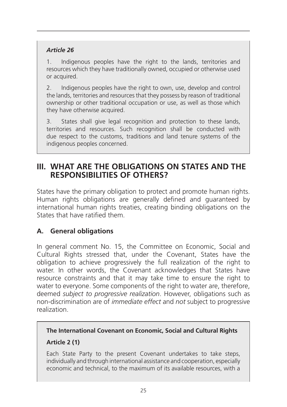# *Article 26*

1. Indigenous peoples have the right to the lands, territories and resources which they have traditionally owned, occupied or otherwise used or acquired.

2. Indigenous peoples have the right to own, use, develop and control the lands, territories and resources that they possess by reason of traditional ownership or other traditional occupation or use, as well as those which they have otherwise acquired.

3. States shall give legal recognition and protection to these lands, territories and resources. Such recognition shall be conducted with due respect to the customs, traditions and land tenure systems of the indigenous peoples concerned.

# **III. WHAT ARE THE OBLIGATIONS ON STATES AND THE RESPONSIBILITIES OF OTHERS?**

States have the primary obligation to protect and promote human rights. Human rights obligations are generally defined and guaranteed by international human rights treaties, creating binding obligations on the States that have ratified them.

# **A. General obligations**

In general comment No. 15, the Committee on Economic, Social and Cultural Rights stressed that, under the Covenant, States have the obligation to achieve progressively the full realization of the right to water. In other words, the Covenant acknowledges that States have resource constraints and that it may take time to ensure the right to water to everyone. Some components of the right to water are, therefore, deemed *subject to progressive realization*. However, obligations such as non-discrimination are of *immediate effect* and *not* subject to progressive realization.

# **The International Covenant on Economic, Social and Cultural Rights Article 2 (1)**

Each State Party to the present Covenant undertakes to take steps, individually and through international assistance and cooperation, especially economic and technical, to the maximum of its available resources, with a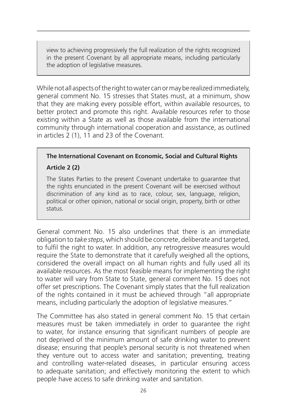view to achieving progressively the full realization of the rights recognized in the present Covenant by all appropriate means, including particularly the adoption of legislative measures.

While not all aspects of the right to water can or may be realized immediately, general comment No. 15 stresses that States must, at a minimum, show that they are making every possible effort, within available resources, to better protect and promote this right. Available resources refer to those existing within a State as well as those available from the international community through international cooperation and assistance, as outlined in articles 2 (1), 11 and 23 of the Covenant.

# **The International Covenant on Economic, Social and Cultural Rights**

# **Article 2 (2)**

The States Parties to the present Covenant undertake to guarantee that the rights enunciated in the present Covenant will be exercised without discrimination of any kind as to race, colour, sex, language, religion, political or other opinion, national or social origin, property, birth or other status.

General comment No. 15 also underlines that there is an immediate obligation to *take steps*, which should be concrete, deliberate and targeted, to fulfil the right to water. In addition, any retrogressive measures would require the State to demonstrate that it carefully weighed all the options, considered the overall impact on all human rights and fully used all its available resources. As the most feasible means for implementing the right to water will vary from State to State, general comment No. 15 does not offer set prescriptions. The Covenant simply states that the full realization of the rights contained in it must be achieved through "all appropriate means, including particularly the adoption of legislative measures."

The Committee has also stated in general comment No. 15 that certain measures must be taken immediately in order to guarantee the right to water, for instance ensuring that significant numbers of people are not deprived of the minimum amount of safe drinking water to prevent disease; ensuring that people's personal security is not threatened when they venture out to access water and sanitation; preventing, treating and controlling water-related diseases, in particular ensuring access to adequate sanitation; and effectively monitoring the extent to which people have access to safe drinking water and sanitation.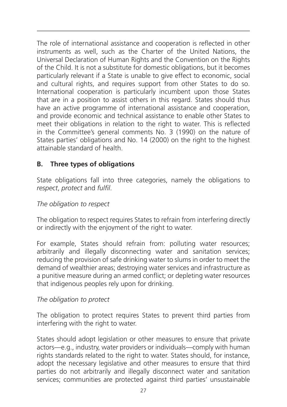The role of international assistance and cooperation is reflected in other instruments as well, such as the Charter of the United Nations, the Universal Declaration of Human Rights and the Convention on the Rights of the Child. It is not a substitute for domestic obligations, but it becomes particularly relevant if a State is unable to give effect to economic, social and cultural rights, and requires support from other States to do so. International cooperation is particularly incumbent upon those States that are in a position to assist others in this regard. States should thus have an active programme of international assistance and cooperation, and provide economic and technical assistance to enable other States to meet their obligations in relation to the right to water. This is reflected in the Committee's general comments No. 3 (1990) on the nature of States parties' obligations and No. 14 (2000) on the right to the highest attainable standard of health.

# **B. Three types of obligations**

State obligations fall into three categories, namely the obligations to *respect*, *protect* and *fulfil*.

#### *The obligation to respect*

The obligation to respect requires States to refrain from interfering directly or indirectly with the enjoyment of the right to water.

For example, States should refrain from: polluting water resources; arbitrarily and illegally disconnecting water and sanitation services; reducing the provision of safe drinking water to slums in order to meet the demand of wealthier areas; destroying water services and infrastructure as a punitive measure during an armed conflict; or depleting water resources that indigenous peoples rely upon for drinking.

#### *The obligation to protect*

The obligation to protect requires States to prevent third parties from interfering with the right to water.

States should adopt legislation or other measures to ensure that private actors—e.g., industry, water providers or individuals—comply with human rights standards related to the right to water. States should, for instance, adopt the necessary legislative and other measures to ensure that third parties do not arbitrarily and illegally disconnect water and sanitation services; communities are protected against third parties' unsustainable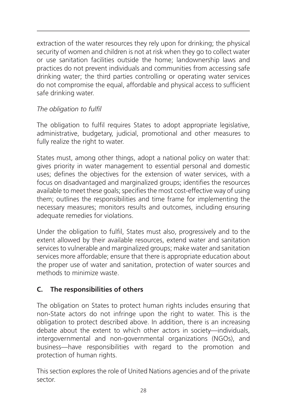extraction of the water resources they rely upon for drinking; the physical security of women and children is not at risk when they go to collect water or use sanitation facilities outside the home; landownership laws and practices do not prevent individuals and communities from accessing safe drinking water; the third parties controlling or operating water services do not compromise the equal, affordable and physical access to sufficient safe drinking water.

# *The obligation to fulfil*

The obligation to fulfil requires States to adopt appropriate legislative, administrative, budgetary, judicial, promotional and other measures to fully realize the right to water.

States must, among other things, adopt a national policy on water that: gives priority in water management to essential personal and domestic uses; defines the objectives for the extension of water services, with a focus on disadvantaged and marginalized groups; identifies the resources available to meet these goals; specifies the most cost-effective way of using them; outlines the responsibilities and time frame for implementing the necessary measures; monitors results and outcomes, including ensuring adequate remedies for violations.

Under the obligation to fulfil, States must also, progressively and to the extent allowed by their available resources, extend water and sanitation services to vulnerable and marginalized groups; make water and sanitation services more affordable; ensure that there is appropriate education about the proper use of water and sanitation, protection of water sources and methods to minimize waste.

# **C. The responsibilities of others**

The obligation on States to protect human rights includes ensuring that non-State actors do not infringe upon the right to water. This is the obligation to protect described above. In addition, there is an increasing debate about the extent to which other actors in society—individuals, intergovernmental and non-governmental organizations (NGOs), and business—have responsibilities with regard to the promotion and protection of human rights.

This section explores the role of United Nations agencies and of the private sector.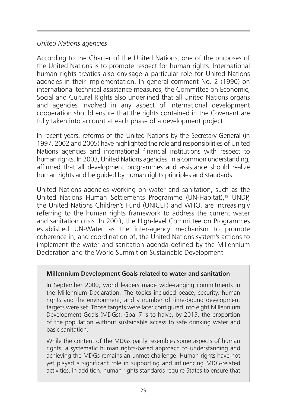# *United Nations agencies*

According to the Charter of the United Nations, one of the purposes of the United Nations is to promote respect for human rights. International human rights treaties also envisage a particular role for United Nations agencies in their implementation. In general comment No. 2 (1990) on international technical assistance measures, the Committee on Economic, Social and Cultural Rights also underlined that all United Nations organs and agencies involved in any aspect of international development cooperation should ensure that the rights contained in the Covenant are fully taken into account at each phase of a development project.

In recent years, reforms of the United Nations by the Secretary-General (in 1997, 2002 and 2005) have highlighted the role and responsibilities of United Nations agencies and international financial institutions with respect to human rights. In 2003, United Nations agencies, in a common understanding, affirmed that all development programmes and assistance should realize human rights and be guided by human rights principles and standards.

United Nations agencies working on water and sanitation, such as the United Nations Human Settlements Programme (UN-Habitat),<sup>19</sup> UNDP, the United Nations Children's Fund (UNICEF) and WHO, are increasingly referring to the human rights framework to address the current water and sanitation crisis. In 2003, the High-level Committee on Programmes established UN-Water as the inter-agency mechanism to promote coherence in, and coordination of, the United Nations system's actions to implement the water and sanitation agenda defined by the Millennium Declaration and the World Summit on Sustainable Development.

#### **Millennium Development Goals related to water and sanitation**

In September 2000, world leaders made wide-ranging commitments in the Millennium Declaration. The topics included peace, security, human rights and the environment, and a number of time-bound development targets were set. Those targets were later configured into eight Millennium Development Goals (MDGs). Goal 7 is to halve, by 2015, the proportion of the population without sustainable access to safe drinking water and basic sanitation.

While the content of the MDGs partly resembles some aspects of human rights, a systematic human rights-based approach to understanding and achieving the MDGs remains an unmet challenge. Human rights have not yet played a significant role in supporting and influencing MDG-related activities. In addition, human rights standards require States to ensure that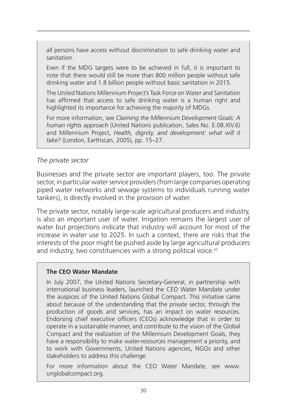all persons have access without discrimination to safe drinking water and sanitation.

Even if the MDG targets were to be achieved in full, it is important to note that there would still be more than 800 million people without safe drinking water and 1.8 billion people without basic sanitation in 2015.

The United Nations Millennium Project's Task Force on Water and Sanitation has affirmed that access to safe drinking water is a human right and highlighted its importance for achieving the majority of MDGs.

For more information, see *Claiming the Millennium Development Goals: A human rights approach* (United Nations publication, Sales No. E.08.XIV.6) and Millennium Project, *Health, dignity, and development: what will it take?* (London, Earthscan, 2005), pp. 15–27.

#### *The private sector*

Businesses and the private sector are important players, too. The private sector, in particular water service providers (from large companies operating piped water networks and sewage systems to individuals running water tankers), is directly involved in the provision of water.

The private sector, notably large-scale agricultural producers and industry, is also an important user of water. Irrigation remains the largest user of water but projections indicate that industry will account for most of the increase in water use to 2025. In such a context, there are risks that the interests of the poor might be pushed aside by large agricultural producers and industry, two constituencies with a strong political voice.<sup>20</sup>

#### **The CEO Water Mandate**

In July 2007, the United Nations Secretary-General, in partnership with international business leaders, launched the CEO Water Mandate under the auspices of the United Nations Global Compact. This initiative came about because of the understanding that the private sector, through the production of goods and services, has an impact on water resources. Endorsing chief executive officers (CEOs) acknowledge that in order to operate in a sustainable manner, and contribute to the vision of the Global Compact and the realization of the Millennium Development Goals, they have a responsibility to make water-resources management a priority, and to work with Governments, United Nations agencies, NGOs and other stakeholders to address this challenge.

For more information about the CEO Water Mandate, see www. unglobalcompact.org.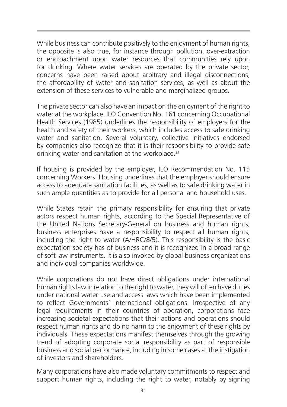While business can contribute positively to the enjoyment of human rights, the opposite is also true, for instance through pollution, over-extraction or encroachment upon water resources that communities rely upon for drinking. Where water services are operated by the private sector, concerns have been raised about arbitrary and illegal disconnections, the affordability of water and sanitation services, as well as about the extension of these services to vulnerable and marginalized groups.

The private sector can also have an impact on the enjoyment of the right to water at the workplace. ILO Convention No. 161 concerning Occupational Health Services (1985) underlines the responsibility of employers for the health and safety of their workers, which includes access to safe drinking water and sanitation. Several voluntary, collective initiatives endorsed by companies also recognize that it is their responsibility to provide safe drinking water and sanitation at the workplace.<sup>21</sup>

If housing is provided by the employer, ILO Recommendation No. 115 concerning Workers' Housing underlines that the employer should ensure access to adequate sanitation facilities, as well as to safe drinking water in such ample quantities as to provide for all personal and household uses.

While States retain the primary responsibility for ensuring that private actors respect human rights, according to the Special Representative of the United Nations Secretary-General on business and human rights, business enterprises have a responsibility to respect all human rights, including the right to water (A/HRC/8/5). This responsibility is the basic expectation society has of business and it is recognized in a broad range of soft law instruments. It is also invoked by global business organizations and individual companies worldwide.

While corporations do not have direct obligations under international human rights law in relation to the right to water, they will often have duties under national water use and access laws which have been implemented to reflect Governments' international obligations. Irrespective of any legal requirements in their countries of operation, corporations face increasing societal expectations that their actions and operations should respect human rights and do no harm to the enjoyment of these rights by individuals. These expectations manifest themselves through the growing trend of adopting corporate social responsibility as part of responsible business and social performance, including in some cases at the instigation of investors and shareholders.

Many corporations have also made voluntary commitments to respect and support human rights, including the right to water, notably by signing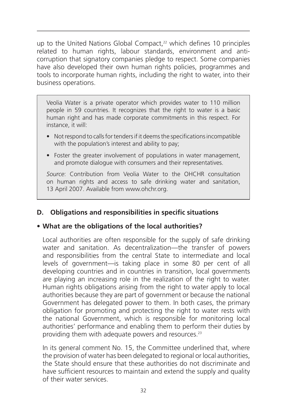up to the United Nations Global Compact.<sup>22</sup> which defines 10 principles related to human rights, labour standards, environment and anticorruption that signatory companies pledge to respect. Some companies have also developed their own human rights policies, programmes and tools to incorporate human rights, including the right to water, into their business operations.

Veolia Water is a private operator which provides water to 110 million people in 59 countries. It recognizes that the right to water is a basic human right and has made corporate commitments in this respect. For instance, it will:

- Not respond to calls for tenders if it deems the specifications incompatible with the population's interest and ability to pay;
- Foster the greater involvement of populations in water management, and promote dialogue with consumers and their representatives.

*Source*: Contribution from Veolia Water to the OHCHR consultation on human rights and access to safe drinking water and sanitation, 13 April 2007. Available from www.ohchr.org.

# **D. Obligations and responsibilities in specific situations**

# • **What are the obligations of the local authorities?**

Local authorities are often responsible for the supply of safe drinking water and sanitation. As decentralization—the transfer of powers and responsibilities from the central State to intermediate and local levels of government—is taking place in some 80 per cent of all developing countries and in countries in transition, local governments are playing an increasing role in the realization of the right to water. Human rights obligations arising from the right to water apply to local authorities because they are part of government or because the national Government has delegated power to them. In both cases, the primary obligation for promoting and protecting the right to water rests with the national Government, which is responsible for monitoring local authorities' performance and enabling them to perform their duties by providing them with adequate powers and resources.23

In its general comment No. 15, the Committee underlined that, where the provision of water has been delegated to regional or local authorities, the State should ensure that these authorities do not discriminate and have sufficient resources to maintain and extend the supply and quality of their water services.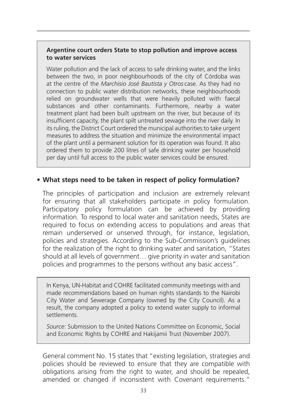#### **Argentine court orders State to stop pollution and improve access to water services**

Water pollution and the lack of access to safe drinking water, and the links between the two, in poor neighbourhoods of the city of Córdoba was at the centre of the *Marchisio José Bautista y Otros* case. As they had no connection to public water distribution networks, these neighbourhoods relied on groundwater wells that were heavily polluted with faecal substances and other contaminants. Furthermore, nearby a water treatment plant had been built upstream on the river, but because of its insufficient capacity, the plant spilt untreated sewage into the river daily. In its ruling, the District Court ordered the municipal authorities to take urgent measures to address the situation and minimize the environmental impact of the plant until a permanent solution for its operation was found. It also ordered them to provide 200 litres of safe drinking water per household per day until full access to the public water services could be ensured.

# • **What steps need to be taken in respect of policy formulation?**

The principles of participation and inclusion are extremely relevant for ensuring that all stakeholders participate in policy formulation. Participatory policy formulation can be achieved by providing information. To respond to local water and sanitation needs, States are required to focus on extending access to populations and areas that remain underserved or unserved through, for instance, legislation, policies and strategies. According to the Sub-Commission's guidelines for the realization of the right to drinking water and sanitation, "States should at all levels of government… give priority in water and sanitation policies and programmes to the persons without any basic access".

In Kenya, UN-Habitat and COHRE facilitated community meetings with and made recommendations based on human rights standards to the Nairobi City Water and Sewerage Company (owned by the City Council). As a result, the company adopted a policy to extend water supply to informal settlements.

*Source*: Submission to the United Nations Committee on Economic, Social and Economic Rights by COHRE and Hakijamii Trust (November 2007).

General comment No. 15 states that "existing legislation, strategies and policies should be reviewed to ensure that they are compatible with obligations arising from the right to water, and should be repealed, amended or changed if inconsistent with Covenant requirements."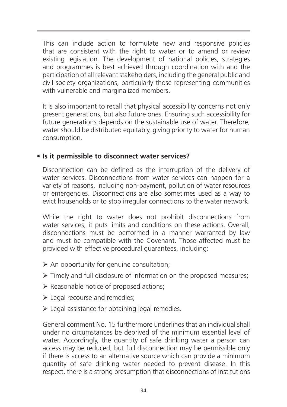This can include action to formulate new and responsive policies that are consistent with the right to water or to amend or review existing legislation. The development of national policies, strategies and programmes is best achieved through coordination with and the participation of all relevant stakeholders, including the general public and civil society organizations, particularly those representing communities with vulnerable and marginalized members.

It is also important to recall that physical accessibility concerns not only present generations, but also future ones. Ensuring such accessibility for future generations depends on the sustainable use of water. Therefore, water should be distributed equitably, giving priority to water for human consumption.

# • **Is it permissible to disconnect water services?**

Disconnection can be defined as the interruption of the delivery of water services. Disconnections from water services can happen for a variety of reasons, including non-payment, pollution of water resources or emergencies. Disconnections are also sometimes used as a way to evict households or to stop irregular connections to the water network.

While the right to water does not prohibit disconnections from water services, it puts limits and conditions on these actions. Overall, disconnections must be performed in a manner warranted by law and must be compatible with the Covenant. Those affected must be provided with effective procedural guarantees, including:

- $\triangleright$  An opportunity for genuine consultation;
- $\triangleright$  Timely and full disclosure of information on the proposed measures;
- $\triangleright$  Reasonable notice of proposed actions;
- Eegal recourse and remedies;
- $\triangleright$  Legal assistance for obtaining legal remedies.

General comment No. 15 furthermore underlines that an individual shall under no circumstances be deprived of the minimum essential level of water. Accordingly, the quantity of safe drinking water a person can access may be reduced, but full disconnection may be permissible only if there is access to an alternative source which can provide a minimum quantity of safe drinking water needed to prevent disease. In this respect, there is a strong presumption that disconnections of institutions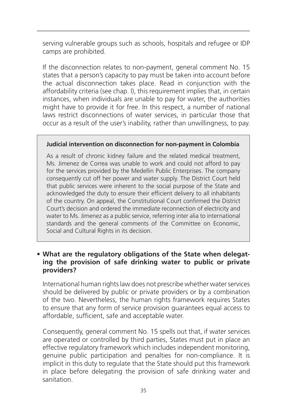serving vulnerable groups such as schools, hospitals and refugee or IDP camps are prohibited.

If the disconnection relates to non-payment, general comment No. 15 states that a person's capacity to pay must be taken into account before the actual disconnection takes place. Read in conjunction with the affordability criteria (see chap. I), this requirement implies that, in certain instances, when individuals are unable to pay for water, the authorities might have to provide it for free. In this respect, a number of national laws restrict disconnections of water services, in particular those that occur as a result of the user's inability, rather than unwillingness, to pay.

#### **Judicial intervention on disconnection for non-payment in Colombia**

As a result of chronic kidney failure and the related medical treatment, Ms. Jimenez de Correa was unable to work and could not afford to pay for the services provided by the Medellin Public Enterprises. The company consequently cut off her power and water supply. The District Court held that public services were inherent to the social purpose of the State and acknowledged the duty to ensure their efficient delivery to all inhabitants of the country. On appeal, the Constitutional Court confirmed the District Court's decision and ordered the immediate reconnection of electricity and water to Ms. Jimenez as a public service, referring inter alia to international standards and the general comments of the Committee on Economic, Social and Cultural Rights in its decision.

# • **What are the regulatory obligations of the State when delegating the provision of safe drinking water to public or private providers?**

International human rights law does not prescribe whether water services should be delivered by public or private providers or by a combination of the two. Nevertheless, the human rights framework requires States to ensure that any form of service provision guarantees equal access to affordable, sufficient, safe and acceptable water.

Consequently, general comment No. 15 spells out that, if water services are operated or controlled by third parties, States must put in place an effective regulatory framework which includes independent monitoring, genuine public participation and penalties for non-compliance. It is implicit in this duty to regulate that the State should put this framework in place before delegating the provision of safe drinking water and sanitation.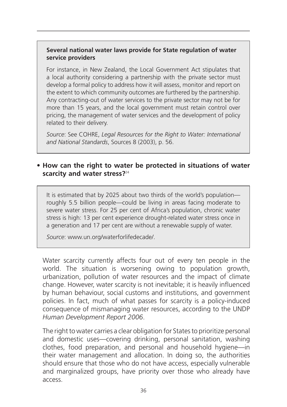#### **Several national water laws provide for State regulation of water service providers**

For instance, in New Zealand, the Local Government Act stipulates that a local authority considering a partnership with the private sector must develop a formal policy to address how it will assess, monitor and report on the extent to which community outcomes are furthered by the partnership. Any contracting-out of water services to the private sector may not be for more than 15 years, and the local government must retain control over pricing, the management of water services and the development of policy related to their delivery.

*Source*: See COHRE, *Legal Resources for the Right to Water: International and National Standards*, Sources 8 (2003), p. 56.

# • **How can the right to water be protected in situations of water scarcity and water stress?**<sup>24</sup>

It is estimated that by 2025 about two thirds of the world's population roughly 5.5 billion people—could be living in areas facing moderate to severe water stress. For 25 per cent of Africa's population, chronic water stress is high: 13 per cent experience drought-related water stress once in a generation and 17 per cent are without a renewable supply of water.

*Source*: www.un.org/waterforlifedecade/.

Water scarcity currently affects four out of every ten people in the world. The situation is worsening owing to population growth, urbanization, pollution of water resources and the impact of climate change. However, water scarcity is not inevitable; it is heavily influenced by human behaviour, social customs and institutions, and government policies. In fact, much of what passes for scarcity is a policy-induced consequence of mismanaging water resources, according to the UNDP *Human Development Report 2006*.

The right to water carries a clear obligation for States to prioritize personal and domestic uses—covering drinking, personal sanitation, washing clothes, food preparation, and personal and household hygiene—in their water management and allocation. In doing so, the authorities should ensure that those who do not have access, especially vulnerable and marginalized groups, have priority over those who already have access.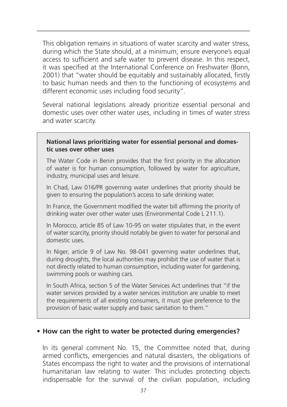This obligation remains in situations of water scarcity and water stress, during which the State should, at a minimum, ensure everyone's equal access to sufficient and safe water to prevent disease. In this respect, it was specified at the International Conference on Freshwater (Bonn, 2001) that "water should be equitably and sustainably allocated, firstly to basic human needs and then to the functioning of ecosystems and different economic uses including food security".

Several national legislations already prioritize essential personal and domestic uses over other water uses, including in times of water stress and water scarcity.

#### **National laws prioritizing water for essential personal and domestic uses over other uses**

The Water Code in Benin provides that the first priority in the allocation of water is for human consumption, followed by water for agriculture, industry, municipal uses and leisure.

In Chad, Law 016/PR governing water underlines that priority should be given to ensuring the population's access to safe drinking water.

In France, the Government modified the water bill affirming the priority of drinking water over other water uses (Environmental Code L 211.1).

In Morocco, article 85 of Law 10-95 on water stipulates that, in the event of water scarcity, priority should notably be given to water for personal and domestic uses.

In Niger, article 9 of Law No. 98-041 governing water underlines that, during droughts, the local authorities may prohibit the use of water that is not directly related to human consumption, including water for gardening, swimming pools or washing cars.

In South Africa, section 5 of the Water Services Act underlines that "if the water services provided by a water services institution are unable to meet the requirements of all existing consumers, it must give preference to the provision of basic water supply and basic sanitation to them."

#### • **How can the right to water be protected during emergencies?**

In its general comment No. 15, the Committee noted that, during armed conflicts, emergencies and natural disasters, the obligations of States encompass the right to water and the provisions of international humanitarian law relating to water. This includes protecting objects indispensable for the survival of the civilian population, including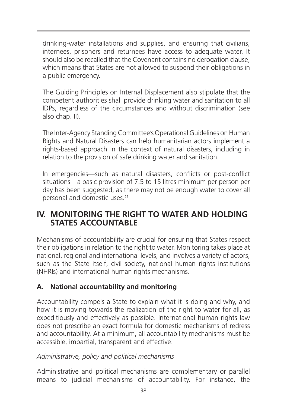drinking-water installations and supplies, and ensuring that civilians, internees, prisoners and returnees have access to adequate water. It should also be recalled that the Covenant contains no derogation clause, which means that States are not allowed to suspend their obligations in a public emergency.

The Guiding Principles on Internal Displacement also stipulate that the competent authorities shall provide drinking water and sanitation to all IDPs, regardless of the circumstances and without discrimination (see also chap. II).

The Inter-Agency Standing Committee's Operational Guidelines on Human Rights and Natural Disasters can help humanitarian actors implement a rights-based approach in the context of natural disasters, including in relation to the provision of safe drinking water and sanitation.

In emergencies—such as natural disasters, conflicts or post-conflict situations—a basic provision of 7.5 to 15 litres minimum per person per day has been suggested, as there may not be enough water to cover all personal and domestic uses.25

# **IV. MONITORING THE RIGHT TO WATER AND HOLDING STATES ACCOUNTABLE**

Mechanisms of accountability are crucial for ensuring that States respect their obligations in relation to the right to water. Monitoring takes place at national, regional and international levels, and involves a variety of actors, such as the State itself, civil society, national human rights institutions (NHRIs) and international human rights mechanisms.

# **A. National accountability and monitoring**

Accountability compels a State to explain what it is doing and why, and how it is moving towards the realization of the right to water for all, as expeditiously and effectively as possible. International human rights law does not prescribe an exact formula for domestic mechanisms of redress and accountability. At a minimum, all accountability mechanisms must be accessible, impartial, transparent and effective.

#### *Administrative, policy and political mechanisms*

Administrative and political mechanisms are complementary or parallel means to judicial mechanisms of accountability. For instance, the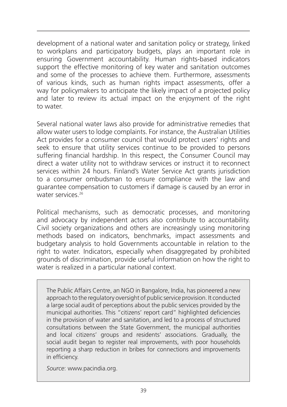development of a national water and sanitation policy or strategy, linked to workplans and participatory budgets, plays an important role in ensuring Government accountability. Human rights-based indicators support the effective monitoring of key water and sanitation outcomes and some of the processes to achieve them. Furthermore, assessments of various kinds, such as human rights impact assessments, offer a way for policymakers to anticipate the likely impact of a projected policy and later to review its actual impact on the enjoyment of the right to water.

Several national water laws also provide for administrative remedies that allow water users to lodge complaints. For instance, the Australian Utilities Act provides for a consumer council that would protect users' rights and seek to ensure that utility services continue to be provided to persons suffering financial hardship. In this respect, the Consumer Council may direct a water utility not to withdraw services or instruct it to reconnect services within 24 hours. Finland's Water Service Act grants jurisdiction to a consumer ombudsman to ensure compliance with the law and guarantee compensation to customers if damage is caused by an error in water services<sup>26</sup>

Political mechanisms, such as democratic processes, and monitoring and advocacy by independent actors also contribute to accountability. Civil society organizations and others are increasingly using monitoring methods based on indicators, benchmarks, impact assessments and budgetary analysis to hold Governments accountable in relation to the right to water. Indicators, especially when disaggregated by prohibited grounds of discrimination, provide useful information on how the right to water is realized in a particular national context.

The Public Affairs Centre, an NGO in Bangalore, India, has pioneered a new approach to the regulatory oversight of public service provision. It conducted a large social audit of perceptions about the public services provided by the municipal authorities. This "citizens' report card" highlighted deficiencies in the provision of water and sanitation, and led to a process of structured consultations between the State Government, the municipal authorities and local citizens' groups and residents' associations. Gradually, the social audit began to register real improvements, with poor households reporting a sharp reduction in bribes for connections and improvements in efficiency.

*Source*: www.pacindia.org.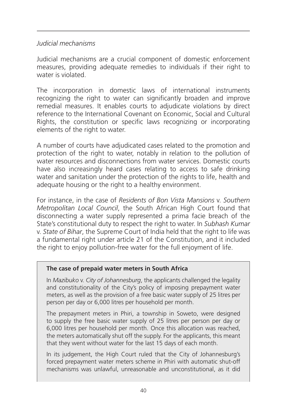# *Judicial mechanisms*

Judicial mechanisms are a crucial component of domestic enforcement measures, providing adequate remedies to individuals if their right to water is violated.

The incorporation in domestic laws of international instruments recognizing the right to water can significantly broaden and improve remedial measures. It enables courts to adjudicate violations by direct reference to the International Covenant on Economic, Social and Cultural Rights, the constitution or specific laws recognizing or incorporating elements of the right to water.

A number of courts have adjudicated cases related to the promotion and protection of the right to water, notably in relation to the pollution of water resources and disconnections from water services. Domestic courts have also increasingly heard cases relating to access to safe drinking water and sanitation under the protection of the rights to life, health and adequate housing or the right to a healthy environment.

For instance, in the case of *Residents of Bon Vista Mansions* v. *Southern Metropolitan Local Council*, the South African High Court found that disconnecting a water supply represented a prima facie breach of the State's constitutional duty to respect the right to water. In *Subhash Kumar*  v. *State of Bihar*, the Supreme Court of India held that the right to life was a fundamental right under article 21 of the Constitution, and it included the right to enjoy pollution-free water for the full enjoyment of life.

#### **The case of prepaid water meters in South Africa**

In *Mazibuko* v. *City of Johannesburg*, the applicants challenged the legality and constitutionality of the City's policy of imposing prepayment water meters, as well as the provision of a free basic water supply of 25 litres per person per day or 6,000 litres per household per month.

The prepayment meters in Phiri, a township in Soweto, were designed to supply the free basic water supply of 25 litres per person per day or 6,000 litres per household per month. Once this allocation was reached, the meters automatically shut off the supply. For the applicants, this meant that they went without water for the last 15 days of each month.

In its judgement, the High Court ruled that the City of Johannesburg's forced prepayment water meters scheme in Phiri with automatic shut-off mechanisms was unlawful, unreasonable and unconstitutional, as it did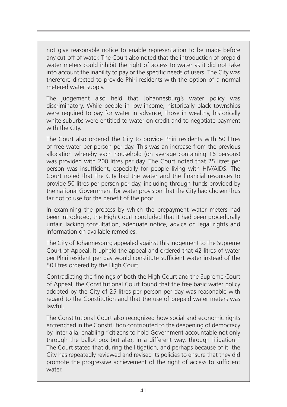not give reasonable notice to enable representation to be made before any cut-off of water. The Court also noted that the introduction of prepaid water meters could inhibit the right of access to water as it did not take into account the inability to pay or the specific needs of users. The City was therefore directed to provide Phiri residents with the option of a normal metered water supply.

The judgement also held that Johannesburg's water policy was discriminatory. While people in low-income, historically black townships were required to pay for water in advance, those in wealthy, historically white suburbs were entitled to water on credit and to negotiate payment with the City.

The Court also ordered the City to provide Phiri residents with 50 litres of free water per person per day. This was an increase from the previous allocation whereby each household (on average containing 16 persons) was provided with 200 litres per day. The Court noted that 25 litres per person was insufficient, especially for people living with HIV/AIDS. The Court noted that the City had the water and the financial resources to provide 50 litres per person per day, including through funds provided by the national Government for water provision that the City had chosen thus far not to use for the benefit of the poor.

In examining the process by which the prepayment water meters had been introduced, the High Court concluded that it had been procedurally unfair, lacking consultation, adequate notice, advice on legal rights and information on available remedies.

The City of Johannesburg appealed against this judgement to the Supreme Court of Appeal. It upheld the appeal and ordered that 42 litres of water per Phiri resident per day would constitute sufficient water instead of the 50 litres ordered by the High Court.

Contradicting the findings of both the High Court and the Supreme Court of Appeal, the Constitutional Court found that the free basic water policy adopted by the City of 25 litres per person per day was reasonable with regard to the Constitution and that the use of prepaid water meters was lawful.

The Constitutional Court also recognized how social and economic rights entrenched in the Constitution contributed to the deepening of democracy by, inter alia, enabling "citizens to hold Government accountable not only through the ballot box but also, in a different way, through litigation." The Court stated that during the litigation, and perhaps because of it, the City has repeatedly reviewed and revised its policies to ensure that they did promote the progressive achievement of the right of access to sufficient water.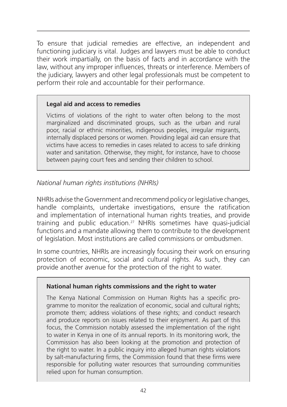To ensure that judicial remedies are effective, an independent and functioning judiciary is vital. Judges and lawyers must be able to conduct their work impartially, on the basis of facts and in accordance with the law, without any improper influences, threats or interference. Members of the judiciary, lawyers and other legal professionals must be competent to perform their role and accountable for their performance.

#### **Legal aid and access to remedies**

Victims of violations of the right to water often belong to the most marginalized and discriminated groups, such as the urban and rural poor, racial or ethnic minorities, indigenous peoples, irregular migrants, internally displaced persons or women. Providing legal aid can ensure that victims have access to remedies in cases related to access to safe drinking water and sanitation. Otherwise, they might, for instance, have to choose between paying court fees and sending their children to school.

# *National human rights institutions (NHRIs)*

NHRIs advise the Government and recommend policy or legislative changes, handle complaints, undertake investigations, ensure the ratification and implementation of international human rights treaties, and provide training and public education.27 NHRIs sometimes have quasi-judicial functions and a mandate allowing them to contribute to the development of legislation. Most institutions are called commissions or ombudsmen.

In some countries, NHRIs are increasingly focusing their work on ensuring protection of economic, social and cultural rights. As such, they can provide another avenue for the protection of the right to water.

#### **National human rights commissions and the right to water**

The Kenya National Commission on Human Rights has a specific programme to monitor the realization of economic, social and cultural rights; promote them; address violations of these rights; and conduct research and produce reports on issues related to their enjoyment. As part of this focus, the Commission notably assessed the implementation of the right to water in Kenya in one of its annual reports. In its monitoring work, the Commission has also been looking at the promotion and protection of the right to water. In a public inquiry into alleged human rights violations by salt-manufacturing firms, the Commission found that these firms were responsible for polluting water resources that surrounding communities relied upon for human consumption.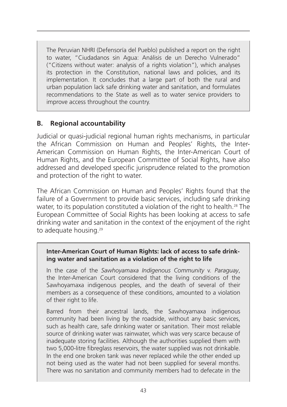The Peruvian NHRI (Defensoría del Pueblo) published a report on the right to water, "Ciudadanos sin Agua: Análisis de un Derecho Vulnerado" ("Citizens without water: analysis of a rights violation"), which analyses its protection in the Constitution, national laws and policies, and its implementation. It concludes that a large part of both the rural and urban population lack safe drinking water and sanitation, and formulates recommendations to the State as well as to water service providers to improve access throughout the country.

# **B. Regional accountability**

Judicial or quasi-judicial regional human rights mechanisms, in particular the African Commission on Human and Peoples' Rights, the Inter-American Commission on Human Rights, the Inter-American Court of Human Rights, and the European Committee of Social Rights, have also addressed and developed specific jurisprudence related to the promotion and protection of the right to water.

The African Commission on Human and Peoples' Rights found that the failure of a Government to provide basic services, including safe drinking water, to its population constituted a violation of the right to health.<sup>28</sup> The European Committee of Social Rights has been looking at access to safe drinking water and sanitation in the context of the enjoyment of the right to adequate housing.<sup>29</sup>

#### **Inter-American Court of Human Rights: lack of access to safe drinking water and sanitation as a violation of the right to life**

In the case of the *Sawhoyamaxa Indigenous Community* v. *Paraguay*, the Inter-American Court considered that the living conditions of the Sawhoyamaxa indigenous peoples, and the death of several of their members as a consequence of these conditions, amounted to a violation of their right to life.

Barred from their ancestral lands, the Sawhoyamaxa indigenous community had been living by the roadside, without any basic services, such as health care, safe drinking water or sanitation. Their most reliable source of drinking water was rainwater, which was very scarce because of inadequate storing facilities. Although the authorities supplied them with two 5,000-litre fibreglass reservoirs, the water supplied was not drinkable. In the end one broken tank was never replaced while the other ended up not being used as the water had not been supplied for several months. There was no sanitation and community members had to defecate in the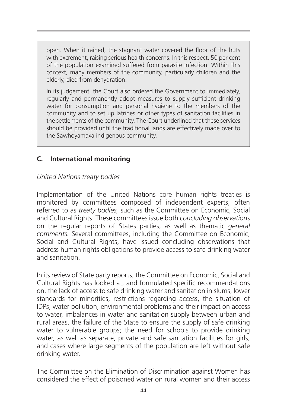open. When it rained, the stagnant water covered the floor of the huts with excrement, raising serious health concerns. In this respect, 50 per cent of the population examined suffered from parasite infection. Within this context, many members of the community, particularly children and the elderly, died from dehydration.

In its judgement, the Court also ordered the Government to immediately, regularly and permanently adopt measures to supply sufficient drinking water for consumption and personal hygiene to the members of the community and to set up latrines or other types of sanitation facilities in the settlements of the community. The Court underlined that these services should be provided until the traditional lands are effectively made over to the Sawhoyamaxa indigenous community.

# **C. International monitoring**

# *United Nations treaty bodies*

Implementation of the United Nations core human rights treaties is monitored by committees composed of independent experts, often referred to as *treaty bodies,* such as the Committee on Economic, Social and Cultural Rights. These committees issue both *concluding observations*  on the regular reports of States parties, as well as thematic *general comments.* Several committees, including the Committee on Economic, Social and Cultural Rights, have issued concluding observations that address human rights obligations to provide access to safe drinking water and sanitation.

In its review of State party reports, the Committee on Economic, Social and Cultural Rights has looked at, and formulated specific recommendations on, the lack of access to safe drinking water and sanitation in slums, lower standards for minorities, restrictions regarding access, the situation of IDPs, water pollution, environmental problems and their impact on access to water, imbalances in water and sanitation supply between urban and rural areas, the failure of the State to ensure the supply of safe drinking water to vulnerable groups; the need for schools to provide drinking water, as well as separate, private and safe sanitation facilities for girls, and cases where large segments of the population are left without safe drinking water.

The Committee on the Elimination of Discrimination against Women has considered the effect of poisoned water on rural women and their access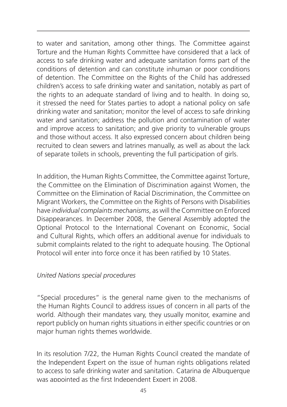to water and sanitation, among other things. The Committee against Torture and the Human Rights Committee have considered that a lack of access to safe drinking water and adequate sanitation forms part of the conditions of detention and can constitute inhuman or poor conditions of detention. The Committee on the Rights of the Child has addressed children's access to safe drinking water and sanitation, notably as part of the rights to an adequate standard of living and to health. In doing so, it stressed the need for States parties to adopt a national policy on safe drinking water and sanitation; monitor the level of access to safe drinking water and sanitation; address the pollution and contamination of water and improve access to sanitation; and give priority to vulnerable groups and those without access. It also expressed concern about children being recruited to clean sewers and latrines manually, as well as about the lack of separate toilets in schools, preventing the full participation of girls.

In addition, the Human Rights Committee, the Committee against Torture, the Committee on the Elimination of Discrimination against Women, the Committee on the Elimination of Racial Discrimination, the Committee on Migrant Workers, the Committee on the Rights of Persons with Disabilities have *individual complaints mechanisms*, as will the Committee on Enforced Disappearances. In December 2008, the General Assembly adopted the Optional Protocol to the International Covenant on Economic, Social and Cultural Rights, which offers an additional avenue for individuals to submit complaints related to the right to adequate housing. The Optional Protocol will enter into force once it has been ratified by 10 States.

# *United Nations special procedures*

"Special procedures" is the general name given to the mechanisms of the Human Rights Council to address issues of concern in all parts of the world. Although their mandates vary, they usually monitor, examine and report publicly on human rights situations in either specific countries or on major human rights themes worldwide.

In its resolution 7/22, the Human Rights Council created the mandate of the Independent Expert on the issue of human rights obligations related to access to safe drinking water and sanitation. Catarina de Albuquerque was appointed as the first Independent Expert in 2008.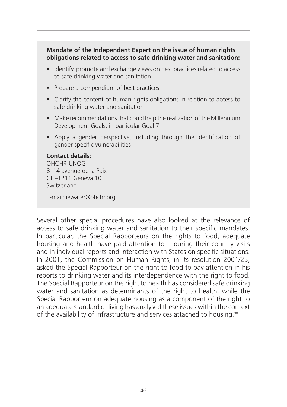#### **Mandate of the Independent Expert on the issue of human rights obligations related to access to safe drinking water and sanitation:**

- Identify, promote and exchange views on best practices related to access to safe drinking water and sanitation
- Prepare a compendium of best practices
- Clarify the content of human rights obligations in relation to access to safe drinking water and sanitation
- Make recommendations that could help the realization of the Millennium Development Goals, in particular Goal 7
- Apply a gender perspective, including through the identification of gender-specific vulnerabilities

#### **Contact details:**

OHCHR-UNOG 8–14 avenue de la Paix CH–1211 Geneva 10 Switzerland

E-mail: iewater@ohchr.org

Several other special procedures have also looked at the relevance of access to safe drinking water and sanitation to their specific mandates. In particular, the Special Rapporteurs on the rights to food, adequate housing and health have paid attention to it during their country visits and in individual reports and interaction with States on specific situations. In 2001, the Commission on Human Rights, in its resolution 2001/25, asked the Special Rapporteur on the right to food to pay attention in his reports to drinking water and its interdependence with the right to food. The Special Rapporteur on the right to health has considered safe drinking water and sanitation as determinants of the right to health, while the Special Rapporteur on adequate housing as a component of the right to an adequate standard of living has analysed these issues within the context of the availability of infrastructure and services attached to housing.30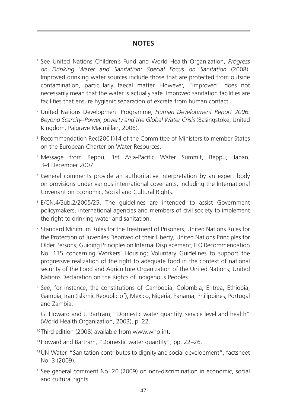# **NOTES**

- <sup>1</sup> See United Nations Children's Fund and World Health Organization, *Progress on Drinking Water and Sanitation: Special Focus on Sanitation* (2008). Improved drinking water sources include those that are protected from outside contamination, particularly faecal matter. However, "improved" does not necessarily mean that the water is actually safe. Improved sanitation facilities are facilities that ensure hygienic separation of excreta from human contact.
- <sup>2</sup> United Nations Development Programme, *Human Development Report 2006: Beyond Scarcity–Power, poverty and the Global Water Crisis* (Basingstoke, United Kingdom, Palgrave Macmillan, 2006).
- <sup>3</sup> Recommendation Rec(2001)14 of the Committee of Ministers to member States on the European Charter on Water Resources.
- <sup>4</sup> Message from Beppu, 1st Asia-Pacific Water Summit, Beppu, Japan, 3-4 December 2007.
- <sup>5</sup> General comments provide an authoritative interpretation by an expert body on provisions under various international covenants, including the International Covenant on Economic, Social and Cultural Rights.
- <sup>6</sup> E/CN.4/Sub.2/2005/25. The guidelines are intended to assist Government policymakers, international agencies and members of civil society to implement the right to drinking water and sanitation.
- <sup>7</sup> Standard Minimum Rules for the Treatment of Prisoners; United Nations Rules for the Protection of Juveniles Deprived of their Liberty; United Nations Principles for Older Persons; Guiding Principles on Internal Displacement; ILO Recommendation No. 115 concerning Workers' Housing; Voluntary Guidelines to support the progressive realization of the right to adequate food in the context of national security of the Food and Agriculture Organization of the United Nations; United Nations Declaration on the Rights of Indigenous Peoples.
- <sup>8</sup> See, for instance, the constitutions of Cambodia, Colombia, Eritrea, Ethiopia, Gambia, Iran (Islamic Republic of), Mexico, Nigeria, Panama, Philippines, Portugal and Zambia.
- <sup>9</sup> G. Howard and J. Bartram, "Domestic water quantity, service level and health" (World Health Organization, 2003), p. 22.
- <sup>10</sup> Third edition (2008) available from www.who.int.
- 11Howard and Bartram, "Domestic water quantity", pp. 22–26.
- 12UN-Water, "Sanitation contributes to dignity and social development", factsheet No. 3 (2009).
- <sup>13</sup> See general comment No. 20 (2009) on non-discrimination in economic, social and cultural rights.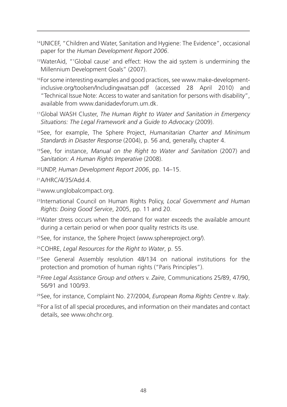- 14UNICEF, "Children and Water, Sanitation and Hygiene: The Evidence", occasional paper for the *Human Development Report 2006*.
- 15WaterAid, "'Global cause' and effect: How the aid system is undermining the Millennium Development Goals" (2007).
- <sup>16</sup> For some interesting examples and good practices, see www.make-developmentinclusive.org/toolsen/Includingwatsan.pdf (accessed 28 April 2010) and "Technical Issue Note: Access to water and sanitation for persons with disability", available from www.danidadevforum.um.dk
- 17Global WASH Cluster, *The Human Right to Water and Sanitation in Emergency Situations: The Legal Framework and a Guide to Advocacy* (2009).
- <sup>18</sup> See, for example, The Sphere Project, *Humanitarian Charter and Minimum Standards in Disaster Response* (2004), p. 56 and, generally, chapter 4.
- <sup>19</sup> See, for instance, *Manual on the Right to Water and Sanitation* (2007) and *Sanitation: A Human Rights Imperative* (2008).
- 20UNDP, *Human Development Report 2006*, pp. 14–15.

<sup>21</sup> A/HRC/4/35/Add 4

22www.unglobalcompact.org.

- <sup>23</sup> International Council on Human Rights Policy, *Local Government and Human Rights: Doing Good Service*, 2005, pp. 11 and 20.
- <sup>24</sup>Water stress occurs when the demand for water exceeds the available amount during a certain period or when poor quality restricts its use.
- <sup>25</sup> See, for instance, the Sphere Project (www.sphereproject.org/).
- 26COHRE, *Legal Resources for the Right to Water*, p. 55.
- <sup>27</sup> See General Assembly resolution 48/134 on national institutions for the protection and promotion of human rights ("Paris Principles").
- <sup>28</sup> *Free Legal Assistance Group and others* v. *Zaire*, Communications 25/89, 47/90, 56/91 and 100/93.
- <sup>29</sup> See, for instance, Complaint No. 27/2004, *European Roma Rights Centre* v. *Italy*.
- <sup>30</sup> For a list of all special procedures, and information on their mandates and contact details, see www.ohchr.org.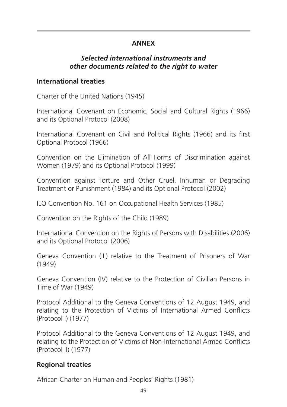# **ANNEX**

# *Selected international instruments and other documents related to the right to water*

# **International treaties**

Charter of the United Nations (1945)

International Covenant on Economic, Social and Cultural Rights (1966) and its Optional Protocol (2008)

International Covenant on Civil and Political Rights (1966) and its first Optional Protocol (1966)

Convention on the Elimination of All Forms of Discrimination against Women (1979) and its Optional Protocol (1999)

Convention against Torture and Other Cruel, Inhuman or Degrading Treatment or Punishment (1984) and its Optional Protocol (2002)

ILO Convention No. 161 on Occupational Health Services (1985)

Convention on the Rights of the Child (1989)

International Convention on the Rights of Persons with Disabilities (2006) and its Optional Protocol (2006)

Geneva Convention (III) relative to the Treatment of Prisoners of War (1949)

Geneva Convention (IV) relative to the Protection of Civilian Persons in Time of War (1949)

Protocol Additional to the Geneva Conventions of 12 August 1949, and relating to the Protection of Victims of International Armed Conflicts (Protocol I) (1977)

Protocol Additional to the Geneva Conventions of 12 August 1949, and relating to the Protection of Victims of Non-International Armed Conflicts (Protocol II) (1977)

# **Regional treaties**

African Charter on Human and Peoples' Rights (1981)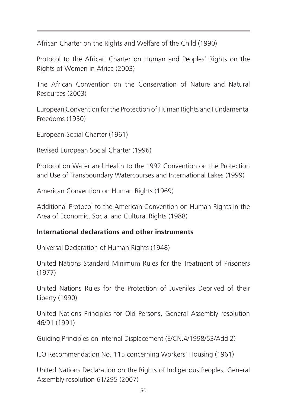African Charter on the Rights and Welfare of the Child (1990)

Protocol to the African Charter on Human and Peoples' Rights on the Rights of Women in Africa (2003)

The African Convention on the Conservation of Nature and Natural Resources (2003)

European Convention for the Protection of Human Rights and Fundamental Freedoms (1950)

European Social Charter (1961)

Revised European Social Charter (1996)

Protocol on Water and Health to the 1992 Convention on the Protection and Use of Transboundary Watercourses and International Lakes (1999)

American Convention on Human Rights (1969)

Additional Protocol to the American Convention on Human Rights in the Area of Economic, Social and Cultural Rights (1988)

# **International declarations and other instruments**

Universal Declaration of Human Rights (1948)

United Nations Standard Minimum Rules for the Treatment of Prisoners (1977)

United Nations Rules for the Protection of Juveniles Deprived of their Liberty (1990)

United Nations Principles for Old Persons, General Assembly resolution 46/91 (1991)

Guiding Principles on Internal Displacement (E/CN.4/1998/53/Add.2)

ILO Recommendation No. 115 concerning Workers' Housing (1961)

United Nations Declaration on the Rights of Indigenous Peoples, General Assembly resolution 61/295 (2007)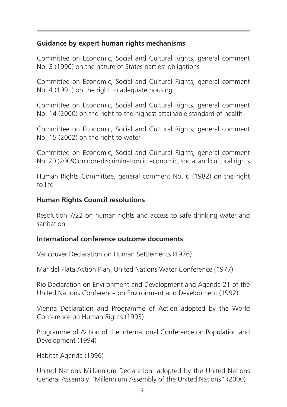# **Guidance by expert human rights mechanisms**

Committee on Economic, Social and Cultural Rights, general comment No. 3 (1990) on the nature of States parties' obligations

Committee on Economic, Social and Cultural Rights, general comment No. 4 (1991) on the right to adequate housing

Committee on Economic, Social and Cultural Rights, general comment No. 14 (2000) on the right to the highest attainable standard of health

Committee on Economic, Social and Cultural Rights, general comment No. 15 (2002) on the right to water

Committee on Economic, Social and Cultural Rights, general comment No. 20 (2009) on non-discrimination in economic, social and cultural rights

Human Rights Committee, general comment No. 6 (1982) on the right to life

# **Human Rights Council resolutions**

Resolution 7/22 on human rights and access to safe drinking water and sanitation

#### **International conference outcome documents**

Vancouver Declaration on Human Settlements (1976)

Mar del Plata Action Plan, United Nations Water Conference (1977)

Rio Declaration on Environment and Development and Agenda 21 of the United Nations Conference on Environment and Development (1992)

Vienna Declaration and Programme of Action adopted by the World Conference on Human Rights (1993)

Programme of Action of the International Conference on Population and Development (1994)

Habitat Agenda (1996)

United Nations Millennium Declaration, adopted by the United Nations General Assembly "Millennium Assembly of the United Nations" (2000)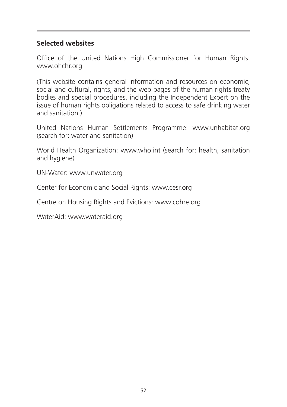# **Selected websites**

Office of the United Nations High Commissioner for Human Rights: www.ohchr.org

(This website contains general information and resources on economic, social and cultural, rights, and the web pages of the human rights treaty bodies and special procedures, including the Independent Expert on the issue of human rights obligations related to access to safe drinking water and sanitation.)

United Nations Human Settlements Programme: www.unhabitat.org (search for: water and sanitation)

World Health Organization: www.who.int (search for: health, sanitation and hygiene)

UN-Water: www.unwater.org

Center for Economic and Social Rights: www.cesr.org

Centre on Housing Rights and Evictions: www.cohre.org

WaterAid: www.wateraid.org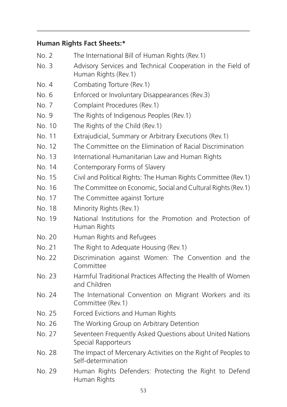# **Human Rights Fact Sheets:\***

| No. 2  | The International Bill of Human Rights (Rev.1)                                       |
|--------|--------------------------------------------------------------------------------------|
| No. 3  | Advisory Services and Technical Cooperation in the Field of<br>Human Rights (Rev. 1) |
| No. 4  | Combating Torture (Rev. 1)                                                           |
| No. 6  | Enforced or Involuntary Disappearances (Rev.3)                                       |
| No. 7  | Complaint Procedures (Rev.1)                                                         |
| No. 9  | The Rights of Indigenous Peoples (Rev.1)                                             |
| No. 10 | The Rights of the Child (Rev.1)                                                      |
| No. 11 | Extrajudicial, Summary or Arbitrary Executions (Rev.1)                               |
| No. 12 | The Committee on the Elimination of Racial Discrimination                            |
| No. 13 | International Humanitarian Law and Human Rights                                      |
| No. 14 | Contemporary Forms of Slavery                                                        |
| No. 15 | Civil and Political Rights: The Human Rights Committee (Rev.1)                       |
| No. 16 | The Committee on Economic, Social and Cultural Rights (Rev.1)                        |
| No. 17 | The Committee against Torture                                                        |
| No. 18 | Minority Rights (Rev.1)                                                              |
| No. 19 | National Institutions for the Promotion and Protection of<br>Human Rights            |
| No. 20 | Human Rights and Refugees                                                            |
| No. 21 | The Right to Adequate Housing (Rev.1)                                                |
| No. 22 | Discrimination against Women: The Convention and the<br>Committee                    |
| No. 23 | Harmful Traditional Practices Affecting the Health of Women<br>and Children          |
| No. 24 | The International Convention on Migrant Workers and its<br>Committee (Rev.1)         |
| No. 25 | Forced Evictions and Human Rights                                                    |
| No. 26 | The Working Group on Arbitrary Detention                                             |
| No. 27 | Seventeen Frequently Asked Questions about United Nations<br>Special Rapporteurs     |
| No. 28 | The Impact of Mercenary Activities on the Right of Peoples to<br>Self-determination  |
| No. 29 | Human Rights Defenders: Protecting the Right to Defend<br>Human Rights               |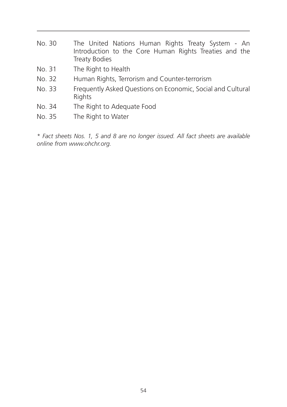- No. 30 The United Nations Human Rights Treaty System An Introduction to the Core Human Rights Treaties and the Treaty Bodies
- No. 31 The Right to Health
- No. 32 Human Rights, Terrorism and Counter-terrorism
- No. 33 Frequently Asked Questions on Economic, Social and Cultural Rights
- No. 34 The Right to Adequate Food
- No. 35 The Right to Water

*\* Fact sheets Nos. 1, 5 and 8 are no longer issued. All fact sheets are available online from www.ohchr.org.*